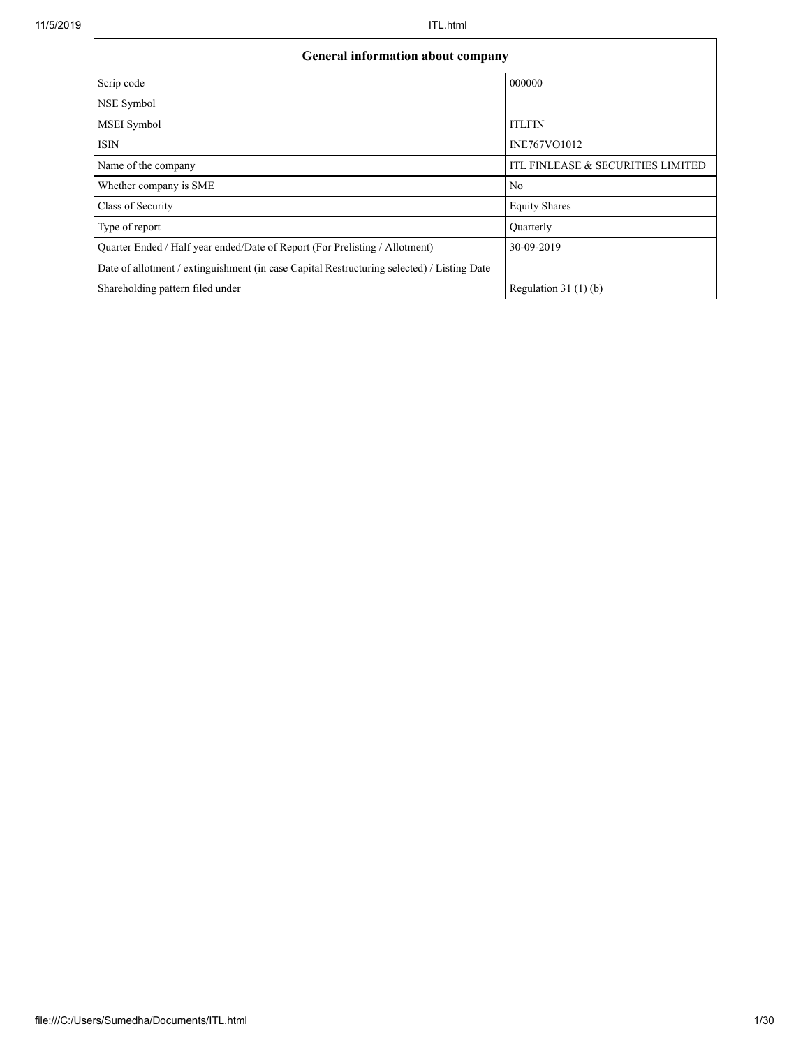| <b>General information about company</b>                                                   |                                   |
|--------------------------------------------------------------------------------------------|-----------------------------------|
| Scrip code                                                                                 | 000000                            |
| NSE Symbol                                                                                 |                                   |
| MSEI Symbol                                                                                | <b>ITLFIN</b>                     |
| <b>ISIN</b>                                                                                | INE767VO1012                      |
| Name of the company                                                                        | ITL FINLEASE & SECURITIES LIMITED |
| Whether company is SME                                                                     | N <sub>0</sub>                    |
| Class of Security                                                                          | <b>Equity Shares</b>              |
| Type of report                                                                             | Quarterly                         |
| Quarter Ended / Half year ended/Date of Report (For Prelisting / Allotment)                | 30-09-2019                        |
| Date of allotment / extinguishment (in case Capital Restructuring selected) / Listing Date |                                   |
| Shareholding pattern filed under                                                           | Regulation $31(1)(b)$             |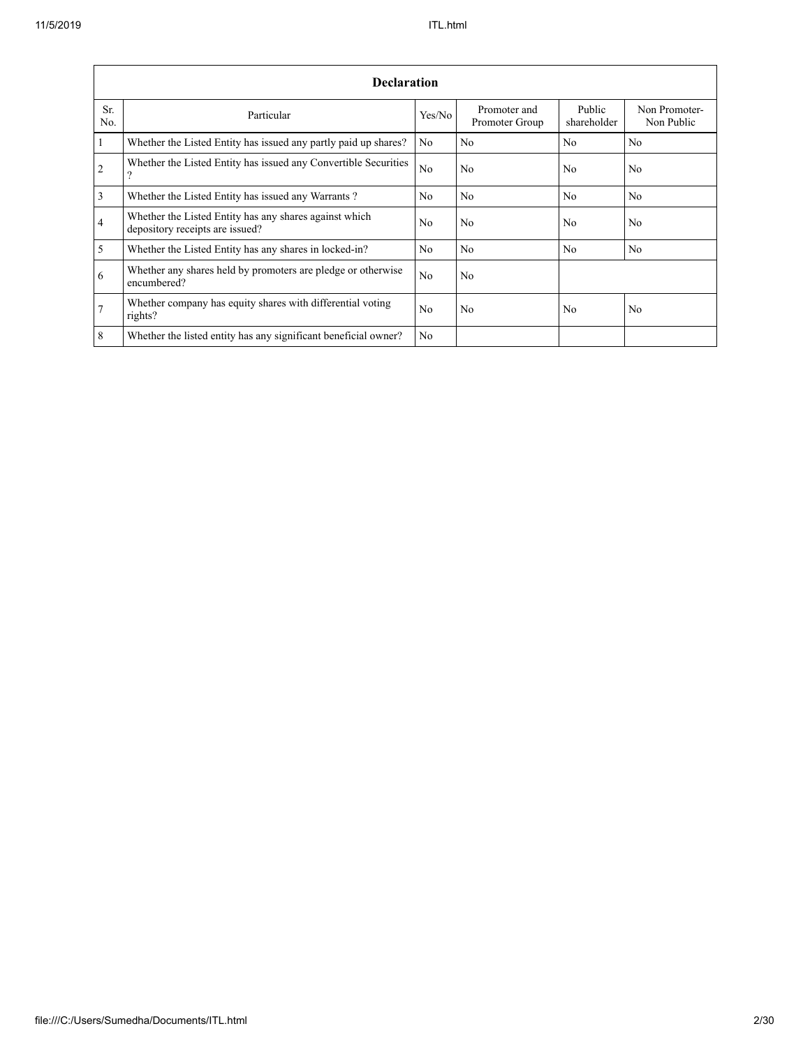|                       | <b>Declaration</b>                                                                        |                |                                |                       |                             |
|-----------------------|-------------------------------------------------------------------------------------------|----------------|--------------------------------|-----------------------|-----------------------------|
| Sr.<br>N <sub>0</sub> | Particular                                                                                | Yes/No         | Promoter and<br>Promoter Group | Public<br>shareholder | Non Promoter-<br>Non Public |
| $\mathbf{1}$          | Whether the Listed Entity has issued any partly paid up shares?                           | N <sub>0</sub> | N <sub>0</sub>                 | N <sub>0</sub>        | N <sub>0</sub>              |
| 2                     | Whether the Listed Entity has issued any Convertible Securities<br>?                      | N <sub>0</sub> | N <sub>0</sub>                 | N <sub>0</sub>        | N <sub>0</sub>              |
| $\overline{3}$        | Whether the Listed Entity has issued any Warrants?                                        | N <sub>0</sub> | N <sub>0</sub>                 | N <sub>0</sub>        | N <sub>0</sub>              |
| $\overline{4}$        | Whether the Listed Entity has any shares against which<br>depository receipts are issued? | No             | N <sub>0</sub>                 | N <sub>0</sub>        | N <sub>0</sub>              |
| 5                     | Whether the Listed Entity has any shares in locked-in?                                    | No             | N <sub>0</sub>                 | N <sub>0</sub>        | N <sub>0</sub>              |
| 6                     | Whether any shares held by promoters are pledge or otherwise<br>encumbered?               | N <sub>0</sub> | N <sub>0</sub>                 |                       |                             |
| $7\phantom{.0}$       | Whether company has equity shares with differential voting<br>rights?                     | N <sub>0</sub> | N <sub>0</sub>                 | N <sub>0</sub>        | N <sub>0</sub>              |
| 8                     | Whether the listed entity has any significant beneficial owner?                           | N <sub>0</sub> |                                |                       |                             |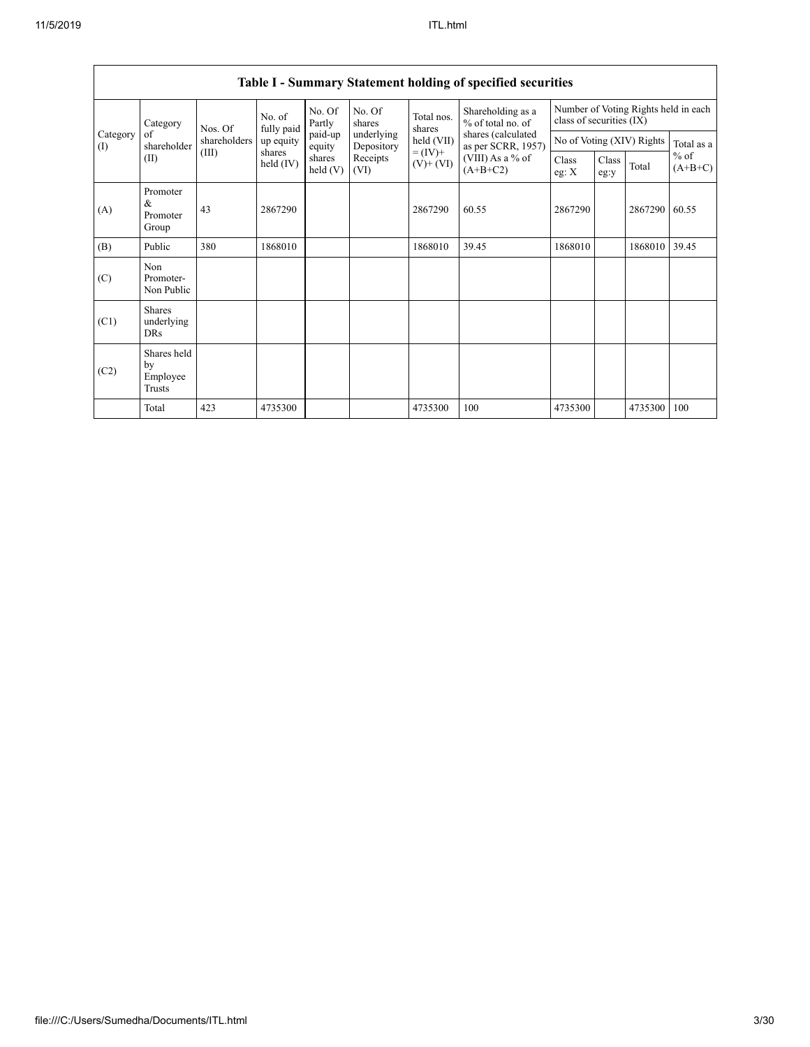|                 | Category                                  | Nos. Of      | No. of<br>fully paid  | No. Of<br>Partly  | No. Of<br>shares         | Total nos.<br>shares         | Shareholding as a<br>% of total no. of   | class of securities (IX) |               | Number of Voting Rights held in each |                     |
|-----------------|-------------------------------------------|--------------|-----------------------|-------------------|--------------------------|------------------------------|------------------------------------------|--------------------------|---------------|--------------------------------------|---------------------|
| Category<br>(I) | of<br>shareholder                         | shareholders | up equity             | paid-up<br>equity | underlying<br>Depository | held (VII)                   | shares (calculated<br>as per SCRR, 1957) |                          |               | No of Voting (XIV) Rights            | Total as a          |
|                 | (II)                                      | (III)        | shares<br>held $(IV)$ | shares<br>held(V) | Receipts<br>(VI)         | $= (IV) +$<br>$(V)$ + $(VI)$ | (VIII) As a % of<br>$(A+B+C2)$           | Class<br>eg: $X$         | Class<br>eg:y | Total                                | $%$ of<br>$(A+B+C)$ |
| (A)             | Promoter<br>&<br>Promoter<br>Group        | 43           | 2867290               |                   |                          | 2867290                      | 60.55                                    | 2867290                  |               | 2867290                              | 60.55               |
| (B)             | Public                                    | 380          | 1868010               |                   |                          | 1868010                      | 39.45                                    | 1868010                  |               | 1868010                              | 39.45               |
| (C)             | Non<br>Promoter-<br>Non Public            |              |                       |                   |                          |                              |                                          |                          |               |                                      |                     |
| (C1)            | <b>Shares</b><br>underlying<br><b>DRs</b> |              |                       |                   |                          |                              |                                          |                          |               |                                      |                     |
| (C2)            | Shares held<br>by<br>Employee<br>Trusts   |              |                       |                   |                          |                              |                                          |                          |               |                                      |                     |
|                 | Total                                     | 423          | 4735300               |                   |                          | 4735300                      | 100                                      | 4735300                  |               | 4735300                              | 100                 |

# **Table I - Summary Statement holding of specified securities**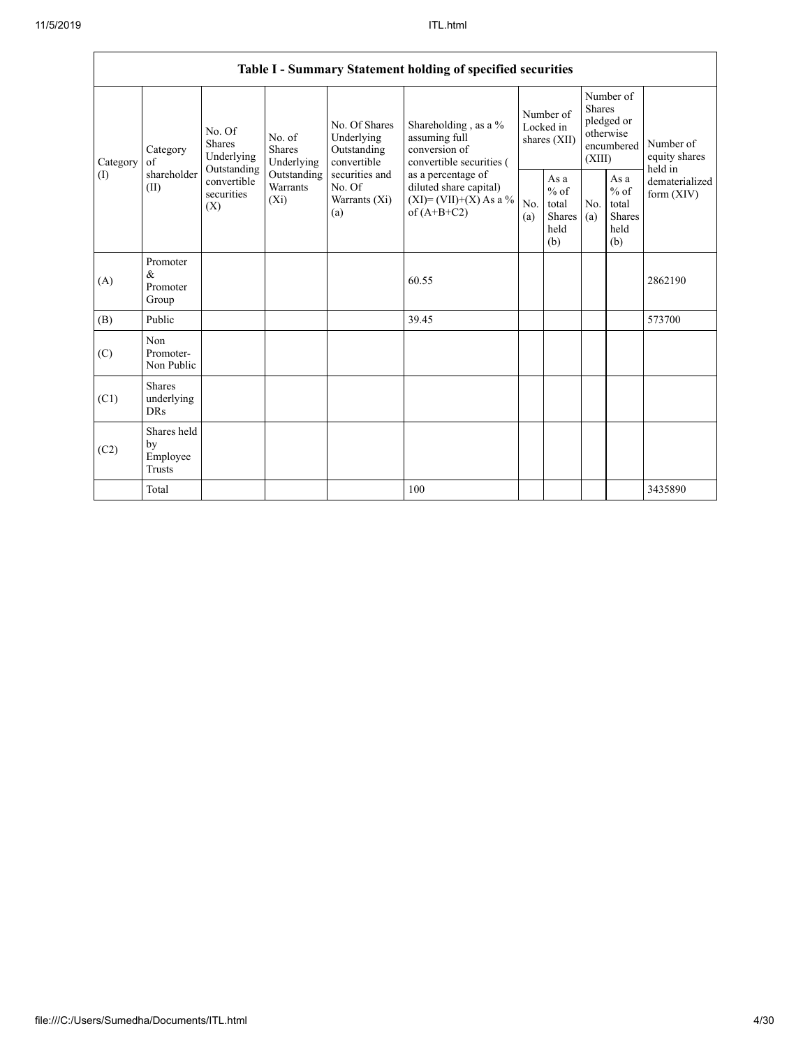|          |                                           |                                                 |                                    |                                                           | Table I - Summary Statement holding of specified securities                                |            |                                                  |                         |                                                         |                                       |
|----------|-------------------------------------------|-------------------------------------------------|------------------------------------|-----------------------------------------------------------|--------------------------------------------------------------------------------------------|------------|--------------------------------------------------|-------------------------|---------------------------------------------------------|---------------------------------------|
| Category | Category<br>of                            | No. Of<br>Shares<br>Underlying                  | No. of<br>Shares<br>Underlying     | No. Of Shares<br>Underlying<br>Outstanding<br>convertible | Shareholding, as a %<br>assuming full<br>conversion of<br>convertible securities (         |            | Number of<br>Locked in<br>shares (XII)           | <b>Shares</b><br>(XIII) | Number of<br>pledged or<br>otherwise<br>encumbered      | Number of<br>equity shares<br>held in |
| (I)      | shareholder<br>(II)                       | Outstanding<br>convertible<br>securities<br>(X) | Outstanding<br>Warrants<br>$(X_i)$ | securities and<br>No. Of<br>Warrants (Xi)<br>(a)          | as a percentage of<br>diluted share capital)<br>$(XI) = (VII)+(X) As a %$<br>of $(A+B+C2)$ | No.<br>(a) | As a<br>$%$ of<br>total<br>Shares<br>held<br>(b) | No.<br>(a)              | As a<br>$%$ of<br>total<br><b>Shares</b><br>held<br>(b) | dematerialized<br>form $(XIV)$        |
| (A)      | Promoter<br>&<br>Promoter<br>Group        |                                                 |                                    |                                                           | 60.55                                                                                      |            |                                                  |                         |                                                         | 2862190                               |
| (B)      | Public                                    |                                                 |                                    |                                                           | 39.45                                                                                      |            |                                                  |                         |                                                         | 573700                                |
| (C)      | Non<br>Promoter-<br>Non Public            |                                                 |                                    |                                                           |                                                                                            |            |                                                  |                         |                                                         |                                       |
| (C1)     | <b>Shares</b><br>underlying<br><b>DRs</b> |                                                 |                                    |                                                           |                                                                                            |            |                                                  |                         |                                                         |                                       |
| (C2)     | Shares held<br>by<br>Employee<br>Trusts   |                                                 |                                    |                                                           |                                                                                            |            |                                                  |                         |                                                         |                                       |
|          | Total                                     |                                                 |                                    |                                                           | 100                                                                                        |            |                                                  |                         |                                                         | 3435890                               |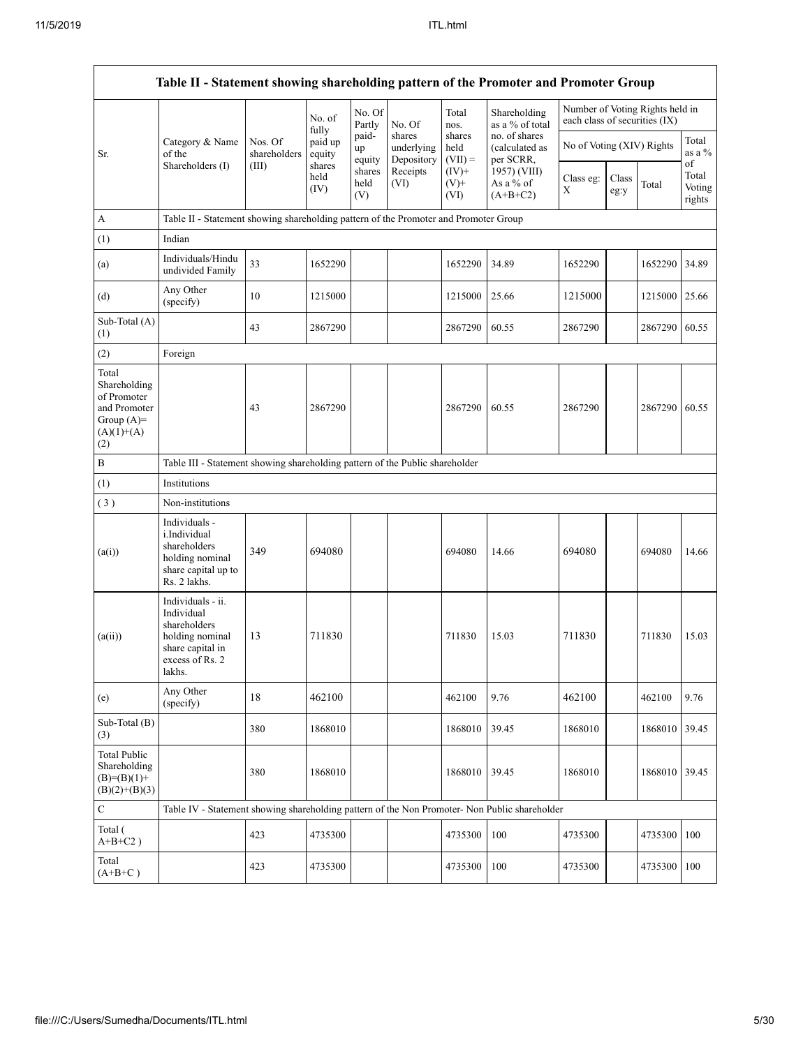|                                                                                             | Table II - Statement showing shareholding pattern of the Promoter and Promoter Group                                 |                         |                            |                       |                                    |                             |                                              |                                                                  |               |         |                                 |  |
|---------------------------------------------------------------------------------------------|----------------------------------------------------------------------------------------------------------------------|-------------------------|----------------------------|-----------------------|------------------------------------|-----------------------------|----------------------------------------------|------------------------------------------------------------------|---------------|---------|---------------------------------|--|
|                                                                                             |                                                                                                                      |                         | No. of                     | No. Of<br>Partly      | No. Of                             | Total<br>nos.               | Shareholding<br>as a % of total              | Number of Voting Rights held in<br>each class of securities (IX) |               |         |                                 |  |
| Sr.                                                                                         | Category & Name<br>of the                                                                                            | Nos. Of<br>shareholders | fully<br>paid up<br>equity | paid-<br>up<br>equity | shares<br>underlying<br>Depository | shares<br>held<br>$(VII) =$ | no. of shares<br>(calculated as<br>per SCRR, | No of Voting (XIV) Rights                                        |               |         | Total<br>as a %                 |  |
|                                                                                             | Shareholders (I)                                                                                                     | (III)                   | shares<br>held<br>(IV)     | shares<br>held<br>(V) | Receipts<br>(VI)                   | $(IV)+$<br>$(V)$ +<br>(VI)  | 1957) (VIII)<br>As a % of<br>$(A+B+C2)$      | Class eg:<br>Χ                                                   | Class<br>eg:y | Total   | of<br>Total<br>Voting<br>rights |  |
| $\boldsymbol{\rm{A}}$                                                                       | Table II - Statement showing shareholding pattern of the Promoter and Promoter Group                                 |                         |                            |                       |                                    |                             |                                              |                                                                  |               |         |                                 |  |
| (1)                                                                                         | Indian                                                                                                               |                         |                            |                       |                                    |                             |                                              |                                                                  |               |         |                                 |  |
| (a)                                                                                         | Individuals/Hindu<br>undivided Family                                                                                | 33                      | 1652290                    |                       |                                    | 1652290                     | 34.89                                        | 1652290                                                          |               | 1652290 | 34.89                           |  |
| (d)                                                                                         | Any Other<br>(specify)                                                                                               | 10                      | 1215000                    |                       |                                    | 1215000                     | 25.66                                        | 1215000                                                          |               | 1215000 | 25.66                           |  |
| Sub-Total (A)<br>(1)                                                                        |                                                                                                                      | 43                      | 2867290                    |                       |                                    | 2867290                     | 60.55                                        | 2867290                                                          |               | 2867290 | 60.55                           |  |
| (2)                                                                                         | Foreign                                                                                                              |                         |                            |                       |                                    |                             |                                              |                                                                  |               |         |                                 |  |
| Total<br>Shareholding<br>of Promoter<br>and Promoter<br>Group $(A)=$<br>$(A)(1)+(A)$<br>(2) |                                                                                                                      | 43                      | 2867290                    |                       |                                    | 2867290                     | 60.55                                        | 2867290                                                          |               | 2867290 | 60.55                           |  |
| B                                                                                           | Table III - Statement showing shareholding pattern of the Public shareholder                                         |                         |                            |                       |                                    |                             |                                              |                                                                  |               |         |                                 |  |
| (1)                                                                                         | Institutions                                                                                                         |                         |                            |                       |                                    |                             |                                              |                                                                  |               |         |                                 |  |
| (3)                                                                                         | Non-institutions                                                                                                     |                         |                            |                       |                                    |                             |                                              |                                                                  |               |         |                                 |  |
| (a(i))                                                                                      | Individuals -<br>i.Individual<br>shareholders<br>holding nominal<br>share capital up to<br>Rs. 2 lakhs.              | 349                     | 694080                     |                       |                                    | 694080                      | 14.66                                        | 694080                                                           |               | 694080  | 14.66                           |  |
| (a(ii))                                                                                     | Individuals - ii.<br>Individual<br>shareholders<br>holding nominal<br>share capital in<br>excess of $Rs.2$<br>lakhs. | 13                      | 711830                     |                       |                                    | 711830                      | 15.03                                        | 711830                                                           |               | 711830  | 15.03                           |  |
| (e)                                                                                         | Any Other<br>(specify)                                                                                               | 18                      | 462100                     |                       |                                    | 462100                      | 9.76                                         | 462100                                                           |               | 462100  | 9.76                            |  |
| Sub-Total (B)<br>(3)                                                                        |                                                                                                                      | 380                     | 1868010                    |                       |                                    | 1868010                     | 39.45                                        | 1868010                                                          |               | 1868010 | 39.45                           |  |
| <b>Total Public</b><br>Shareholding<br>$(B)= (B)(1) +$<br>$(B)(2)+(B)(3)$                   |                                                                                                                      | 380                     | 1868010                    |                       |                                    | 1868010                     | 39.45                                        | 1868010                                                          |               | 1868010 | 39.45                           |  |
| ${\bf C}$                                                                                   | Table IV - Statement showing shareholding pattern of the Non Promoter- Non Public shareholder                        |                         |                            |                       |                                    |                             |                                              |                                                                  |               |         |                                 |  |
| Total (<br>$A+B+C2$ )                                                                       |                                                                                                                      | 423                     | 4735300                    |                       |                                    | 4735300                     | 100                                          | 4735300                                                          |               | 4735300 | 100                             |  |
| Total<br>$(A+B+C)$                                                                          |                                                                                                                      | 423                     | 4735300                    |                       |                                    | 4735300                     | 100                                          | 4735300                                                          |               | 4735300 | 100                             |  |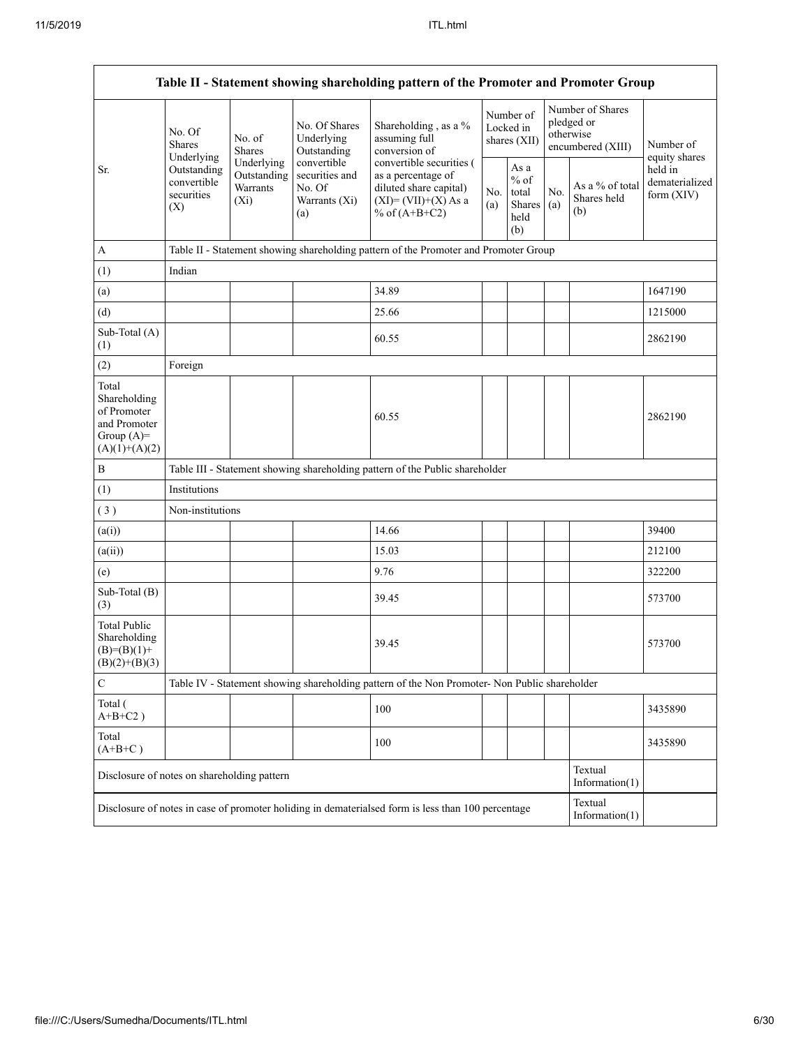|                                                                                         |                                                                                                     |                         |                                                                 | Table II - Statement showing shareholding pattern of the Promoter and Promoter Group                                 |            |                                                  |            |                                                                  |                                         |
|-----------------------------------------------------------------------------------------|-----------------------------------------------------------------------------------------------------|-------------------------|-----------------------------------------------------------------|----------------------------------------------------------------------------------------------------------------------|------------|--------------------------------------------------|------------|------------------------------------------------------------------|-----------------------------------------|
|                                                                                         | No. Of<br><b>Shares</b><br>Underlying                                                               | No. of<br><b>Shares</b> | No. Of Shares<br>Underlying<br>Outstanding                      | Shareholding, as a %<br>assuming full<br>conversion of                                                               |            | Number of<br>Locked in<br>shares (XII)           |            | Number of Shares<br>pledged or<br>otherwise<br>encumbered (XIII) | Number of<br>equity shares              |
| Sr.                                                                                     | Underlying<br>Outstanding<br>Outstanding<br>convertible<br>Warrants<br>securities<br>$(X_i)$<br>(X) |                         | convertible<br>securities and<br>No. Of<br>Warrants (Xi)<br>(a) | convertible securities (<br>as a percentage of<br>diluted share capital)<br>$(XI)=(VII)+(X) As a$<br>% of $(A+B+C2)$ | No.<br>(a) | As a<br>$%$ of<br>total<br>Shares<br>held<br>(b) | No.<br>(a) | As a % of total<br>Shares held<br>(b)                            | held in<br>dematerialized<br>form (XIV) |
| $\mathbf{A}$                                                                            |                                                                                                     |                         |                                                                 | Table II - Statement showing shareholding pattern of the Promoter and Promoter Group                                 |            |                                                  |            |                                                                  |                                         |
| (1)                                                                                     | Indian                                                                                              |                         |                                                                 |                                                                                                                      |            |                                                  |            |                                                                  |                                         |
| (a)                                                                                     |                                                                                                     |                         |                                                                 | 34.89                                                                                                                |            |                                                  |            |                                                                  | 1647190                                 |
| (d)                                                                                     |                                                                                                     |                         |                                                                 | 25.66                                                                                                                |            |                                                  |            |                                                                  | 1215000                                 |
| Sub-Total (A)<br>(1)                                                                    |                                                                                                     |                         |                                                                 | 60.55                                                                                                                |            |                                                  |            |                                                                  | 2862190                                 |
| (2)                                                                                     | Foreign                                                                                             |                         |                                                                 |                                                                                                                      |            |                                                  |            |                                                                  |                                         |
| Total<br>Shareholding<br>of Promoter<br>and Promoter<br>Group $(A)=$<br>$(A)(1)+(A)(2)$ |                                                                                                     |                         |                                                                 | 60.55                                                                                                                |            |                                                  |            |                                                                  | 2862190                                 |
| $\, {\bf B}$                                                                            |                                                                                                     |                         |                                                                 | Table III - Statement showing shareholding pattern of the Public shareholder                                         |            |                                                  |            |                                                                  |                                         |
| (1)                                                                                     | Institutions                                                                                        |                         |                                                                 |                                                                                                                      |            |                                                  |            |                                                                  |                                         |
| (3)                                                                                     | Non-institutions                                                                                    |                         |                                                                 |                                                                                                                      |            |                                                  |            |                                                                  |                                         |
| (a(i))                                                                                  |                                                                                                     |                         |                                                                 | 14.66                                                                                                                |            |                                                  |            |                                                                  | 39400                                   |
| (a(ii))                                                                                 |                                                                                                     |                         |                                                                 | 15.03                                                                                                                |            |                                                  |            |                                                                  | 212100                                  |
| (e)                                                                                     |                                                                                                     |                         |                                                                 | 9.76                                                                                                                 |            |                                                  |            |                                                                  | 322200                                  |
| Sub-Total (B)<br>(3)                                                                    |                                                                                                     |                         |                                                                 | 39.45                                                                                                                |            |                                                  |            |                                                                  | 573700                                  |
| <b>Total Public</b><br>Shareholding<br>$(B)= (B)(1) +$<br>$(B)(2)+(B)(3)$               |                                                                                                     |                         |                                                                 | 39.45                                                                                                                |            |                                                  |            |                                                                  | 573700                                  |
| $\mathbf C$                                                                             |                                                                                                     |                         |                                                                 | Table IV - Statement showing shareholding pattern of the Non Promoter- Non Public shareholder                        |            |                                                  |            |                                                                  |                                         |
| Total (<br>$A+B+C2$ )                                                                   |                                                                                                     |                         |                                                                 | 100                                                                                                                  |            |                                                  |            |                                                                  | 3435890                                 |
| Total<br>$(A+B+C)$                                                                      |                                                                                                     |                         |                                                                 | 100                                                                                                                  |            |                                                  |            |                                                                  | 3435890                                 |
| Disclosure of notes on shareholding pattern                                             |                                                                                                     |                         |                                                                 |                                                                                                                      |            |                                                  |            | Textual<br>Information $(1)$                                     |                                         |
|                                                                                         |                                                                                                     |                         |                                                                 | Disclosure of notes in case of promoter holiding in dematerialsed form is less than 100 percentage                   |            |                                                  |            | Textual<br>Information $(1)$                                     |                                         |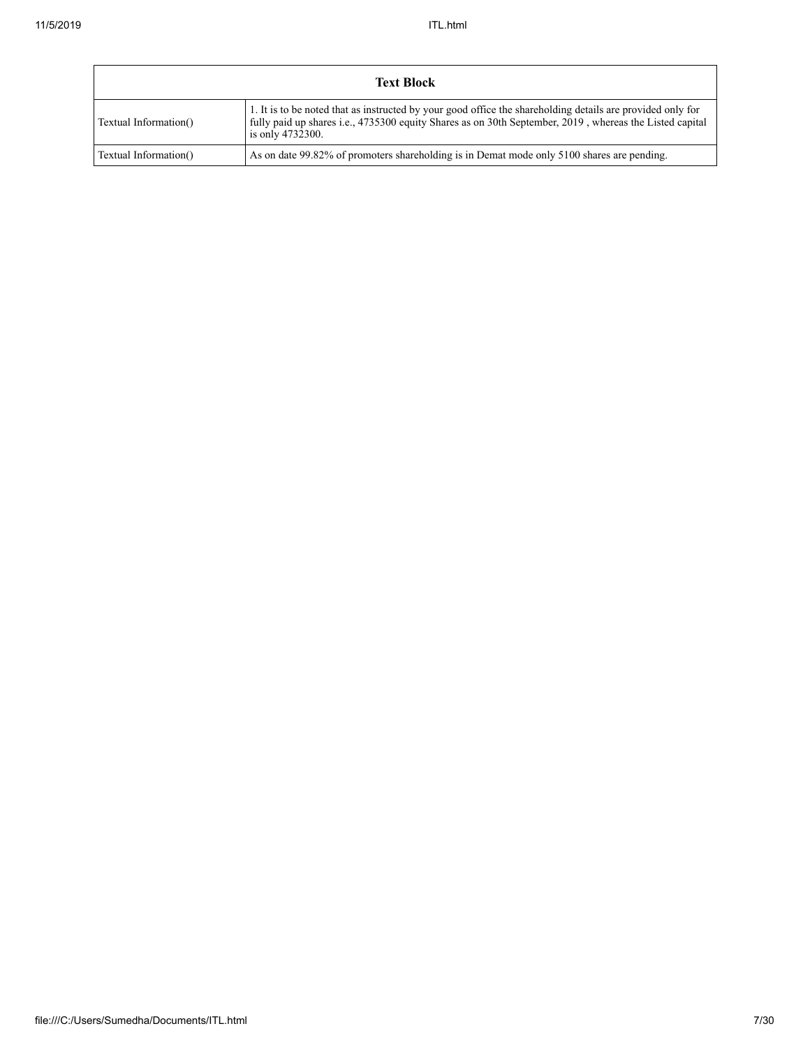|                       | <b>Text Block</b>                                                                                                                                                                                                                         |
|-----------------------|-------------------------------------------------------------------------------------------------------------------------------------------------------------------------------------------------------------------------------------------|
| Textual Information() | 1. It is to be noted that as instructed by your good office the shareholding details are provided only for<br>fully paid up shares i.e., 4735300 equity Shares as on 30th September, 2019, whereas the Listed capital<br>is only 4732300. |
| Textual Information() | As on date 99.82% of promoters shareholding is in Demat mode only 5100 shares are pending.                                                                                                                                                |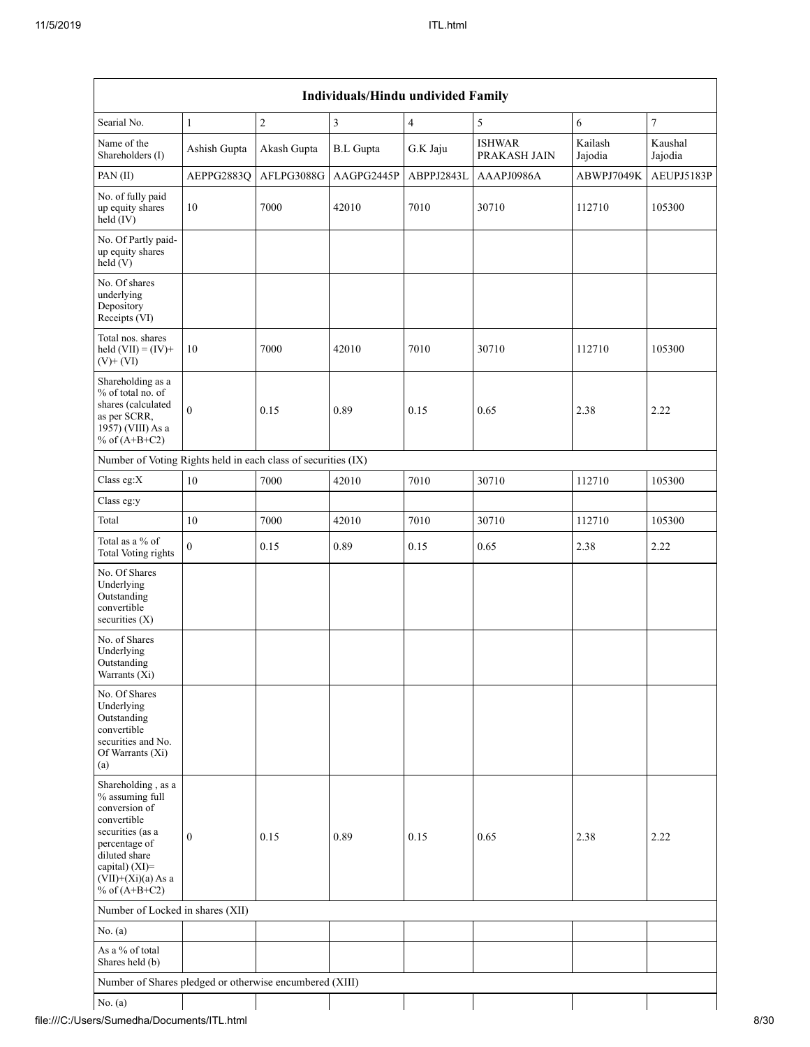| Searial No.                                                                                                                                                                                 | $\mathbf{1}$     | $\boldsymbol{2}$ | $\overline{\mathbf{3}}$ | $\overline{4}$ | 5                             | 6                  | $\boldsymbol{7}$   |
|---------------------------------------------------------------------------------------------------------------------------------------------------------------------------------------------|------------------|------------------|-------------------------|----------------|-------------------------------|--------------------|--------------------|
| Name of the<br>Shareholders (I)                                                                                                                                                             | Ashish Gupta     | Akash Gupta      | <b>B.L</b> Gupta        | G.K Jaju       | <b>ISHWAR</b><br>PRAKASH JAIN | Kailash<br>Jajodia | Kaushal<br>Jajodia |
| PAN(II)                                                                                                                                                                                     | AEPPG2883Q       | AFLPG3088G       | AAGPG2445P              | ABPPJ2843L     | AAAPJ0986A                    | ABWPJ7049K         | AEUPJ5183P         |
| No. of fully paid<br>up equity shares<br>$\text{held}(\text{IV})$                                                                                                                           | 10               | 7000             | 42010                   | 7010           | 30710                         | 112710             | 105300             |
| No. Of Partly paid-<br>up equity shares<br>held(V)                                                                                                                                          |                  |                  |                         |                |                               |                    |                    |
| No. Of shares<br>underlying<br>Depository<br>Receipts (VI)                                                                                                                                  |                  |                  |                         |                |                               |                    |                    |
| Total nos. shares<br>held $(VII) = (IV) +$<br>$(V)$ + $(VI)$                                                                                                                                | 10               | 7000             | 42010                   | 7010           | 30710                         | 112710             | 105300             |
| Shareholding as a<br>% of total no. of<br>shares (calculated<br>as per SCRR,<br>1957) (VIII) As a<br>% of $(A+B+C2)$                                                                        | $\mathbf{0}$     | 0.15             | 0.89                    | 0.15           | 0.65                          | 2.38               | 2.22               |
| Number of Voting Rights held in each class of securities (IX)                                                                                                                               |                  |                  |                         |                |                               |                    |                    |
| Class eg:X                                                                                                                                                                                  | 10               | 7000             | 42010                   | 7010           | 30710                         | 112710             | 105300             |
| Class eg:y                                                                                                                                                                                  |                  |                  |                         |                |                               |                    |                    |
| Total                                                                                                                                                                                       | 10               | 7000             | 42010                   | 7010           | 30710                         | 112710             | 105300             |
| Total as a % of<br><b>Total Voting rights</b>                                                                                                                                               | $\boldsymbol{0}$ | 0.15             | 0.89                    | 0.15           | 0.65                          | 2.38               | 2.22               |
| No. Of Shares<br>Underlying<br>Outstanding<br>convertible<br>securities (X)                                                                                                                 |                  |                  |                         |                |                               |                    |                    |
| No. of Shares<br>Underlying<br>Outstanding<br>Warrants (Xi)                                                                                                                                 |                  |                  |                         |                |                               |                    |                    |
| No. Of Shares<br>Underlying<br>Outstanding<br>convertible<br>securities and No.<br>Of Warrants (Xi)<br>(a)                                                                                  |                  |                  |                         |                |                               |                    |                    |
| Shareholding, as a<br>$\%$ assuming full<br>conversion of<br>convertible<br>securities (as a<br>percentage of<br>diluted share<br>capital) (XI)=<br>$(VII)+(Xi)(a)$ As a<br>% of $(A+B+C2)$ | $\bf{0}$         | 0.15             | 0.89                    | 0.15           | 0.65                          | 2.38               | 2.22               |
| Number of Locked in shares (XII)                                                                                                                                                            |                  |                  |                         |                |                               |                    |                    |
| No. $(a)$                                                                                                                                                                                   |                  |                  |                         |                |                               |                    |                    |
| As a % of total<br>Shares held (b)                                                                                                                                                          |                  |                  |                         |                |                               |                    |                    |
| Number of Shares pledged or otherwise encumbered (XIII)                                                                                                                                     |                  |                  |                         |                |                               |                    |                    |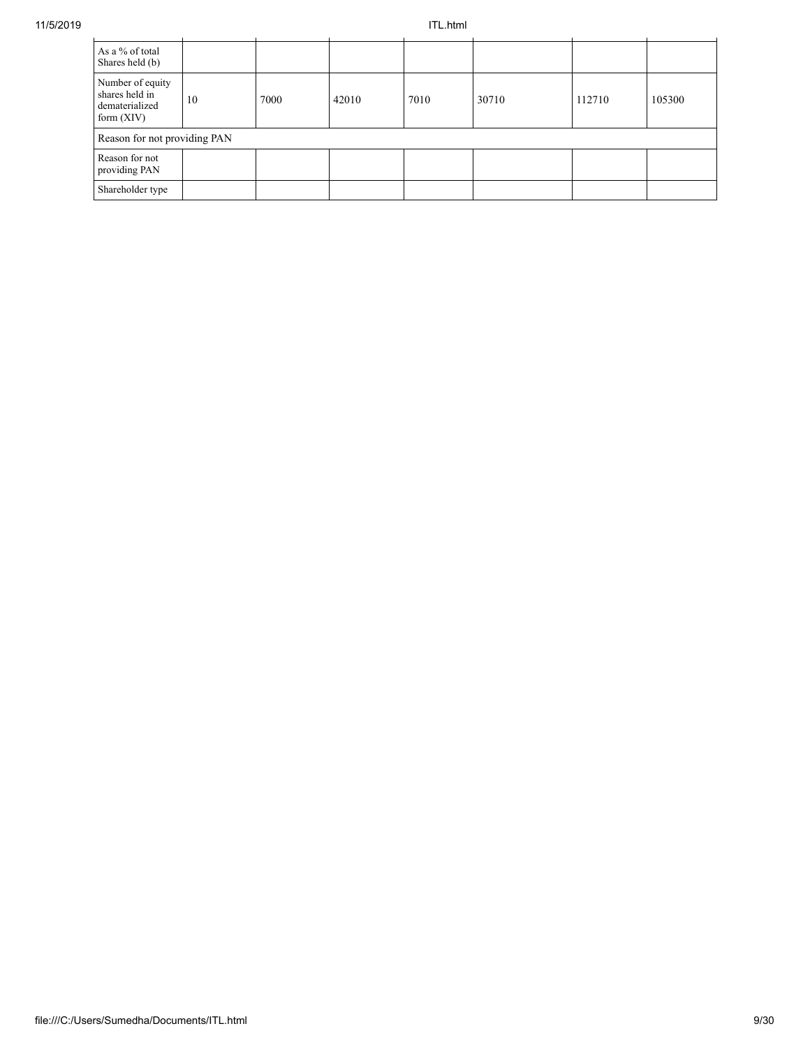| As a % of total<br>Shares held (b)                                   |    |      |       |      |       |        |        |
|----------------------------------------------------------------------|----|------|-------|------|-------|--------|--------|
| Number of equity<br>shares held in<br>dematerialized<br>form $(XIV)$ | 10 | 7000 | 42010 | 7010 | 30710 | 112710 | 105300 |
| Reason for not providing PAN                                         |    |      |       |      |       |        |        |
| Reason for not<br>providing PAN                                      |    |      |       |      |       |        |        |
| Shareholder type                                                     |    |      |       |      |       |        |        |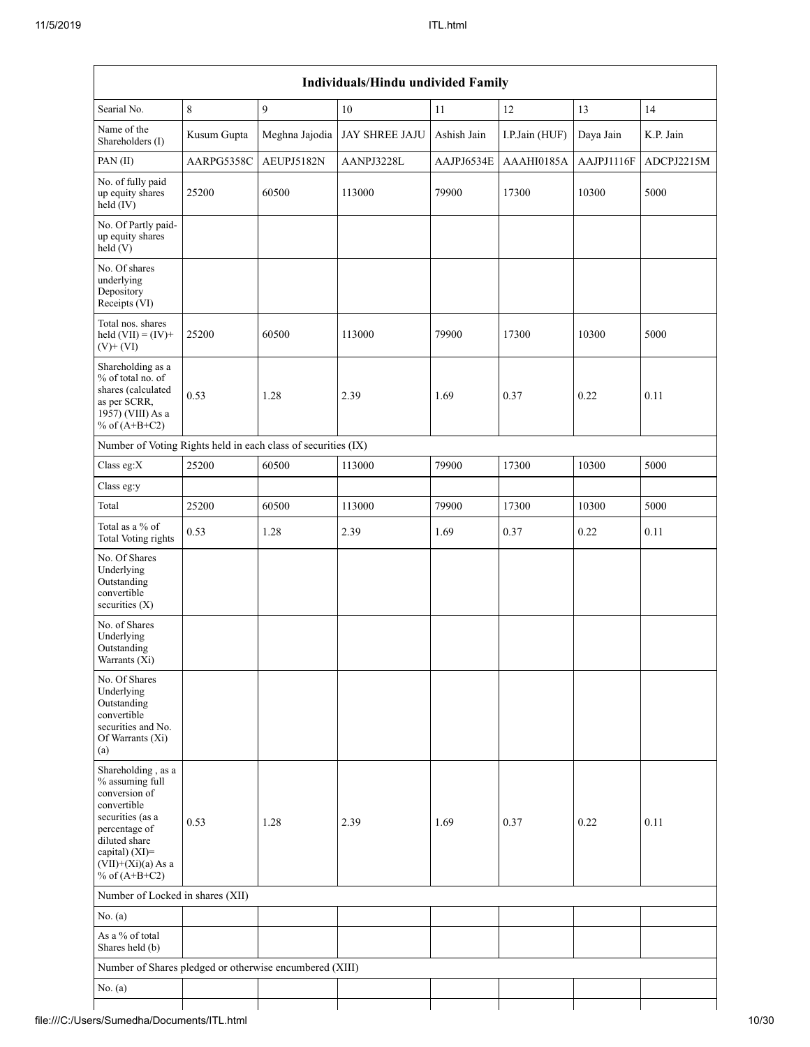|                                                                                                                                                                                          |             |                | Individuals/Hindu undivided Family |             |                |            |            |
|------------------------------------------------------------------------------------------------------------------------------------------------------------------------------------------|-------------|----------------|------------------------------------|-------------|----------------|------------|------------|
| Searial No.                                                                                                                                                                              | $\,8\,$     | 9              | $10\,$                             | 11          | $12\,$         | 13         | 14         |
| Name of the<br>Shareholders (I)                                                                                                                                                          | Kusum Gupta | Meghna Jajodia | <b>JAY SHREE JAJU</b>              | Ashish Jain | I.P.Jain (HUF) | Daya Jain  | K.P. Jain  |
| PAN (II)                                                                                                                                                                                 | AARPG5358C  | AEUPJ5182N     | AANPJ3228L                         | AAJPJ6534E  | AAAHI0185A     | AAJPJ1116F | ADCPJ2215M |
| No. of fully paid<br>up equity shares<br>$held$ (IV)                                                                                                                                     | 25200       | 60500          | 113000                             | 79900       | 17300          | 10300      | 5000       |
| No. Of Partly paid-<br>up equity shares<br>held(V)                                                                                                                                       |             |                |                                    |             |                |            |            |
| No. Of shares<br>underlying<br>Depository<br>Receipts (VI)                                                                                                                               |             |                |                                    |             |                |            |            |
| Total nos. shares<br>held $(VII) = (IV) +$<br>$(V)$ + $(VI)$                                                                                                                             | 25200       | 60500          | 113000                             | 79900       | 17300          | 10300      | 5000       |
| Shareholding as a<br>% of total no. of<br>shares (calculated<br>as per SCRR,<br>1957) (VIII) As a<br>% of $(A+B+C2)$                                                                     | 0.53        | 1.28           | 2.39                               | 1.69        | 0.37           | 0.22       | 0.11       |
| Number of Voting Rights held in each class of securities (IX)                                                                                                                            |             |                |                                    |             |                |            |            |
| Class eg:X                                                                                                                                                                               | 25200       | 60500          | 113000                             | 79900       | 17300          | 10300      | 5000       |
| Class eg:y                                                                                                                                                                               |             |                |                                    |             |                |            |            |
| Total                                                                                                                                                                                    | 25200       | 60500          | 113000                             | 79900       | 17300          | 10300      | 5000       |
| Total as a % of<br><b>Total Voting rights</b>                                                                                                                                            | 0.53        | 1.28           | 2.39                               | 1.69        | 0.37           | 0.22       | 0.11       |
| No. Of Shares<br>Underlying<br>Outstanding<br>convertible<br>securities (X)                                                                                                              |             |                |                                    |             |                |            |            |
| No. of Shares<br>Underlying<br>Outstanding<br>Warrants (Xi)                                                                                                                              |             |                |                                    |             |                |            |            |
| No. Of Shares<br>Underlying<br>Outstanding<br>convertible<br>securities and No.<br>Of Warrants (Xi)<br>(a)                                                                               |             |                |                                    |             |                |            |            |
| Shareholding, as a<br>% assuming full<br>conversion of<br>convertible<br>securities (as a<br>percentage of<br>diluted share<br>capital) (XI)=<br>$(VII)+(Xi)(a)$ As a<br>% of $(A+B+C2)$ | 0.53        | 1.28           | 2.39                               | 1.69        | 0.37           | 0.22       | 0.11       |
| Number of Locked in shares (XII)                                                                                                                                                         |             |                |                                    |             |                |            |            |
| No. (a)                                                                                                                                                                                  |             |                |                                    |             |                |            |            |
| As a % of total<br>Shares held (b)                                                                                                                                                       |             |                |                                    |             |                |            |            |
| Number of Shares pledged or otherwise encumbered (XIII)                                                                                                                                  |             |                |                                    |             |                |            |            |
| No. (a)                                                                                                                                                                                  |             |                |                                    |             |                |            |            |
|                                                                                                                                                                                          |             |                |                                    |             |                |            |            |

# file:///C:/Users/Sumedha/Documents/ITL.html 10/30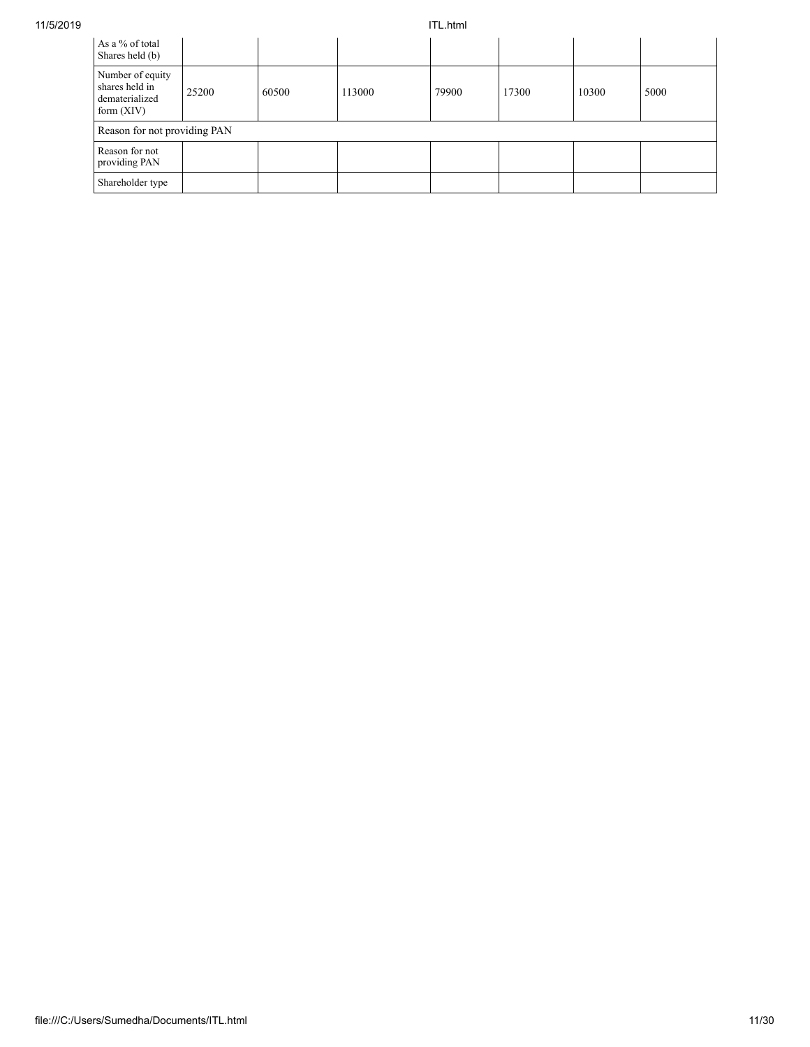| As a % of total<br>Shares held (b)                                   |       |       |        |       |       |       |      |
|----------------------------------------------------------------------|-------|-------|--------|-------|-------|-------|------|
| Number of equity<br>shares held in<br>dematerialized<br>form $(XIV)$ | 25200 | 60500 | 113000 | 79900 | 17300 | 10300 | 5000 |
| Reason for not providing PAN                                         |       |       |        |       |       |       |      |
| Reason for not<br>providing PAN                                      |       |       |        |       |       |       |      |
| Shareholder type                                                     |       |       |        |       |       |       |      |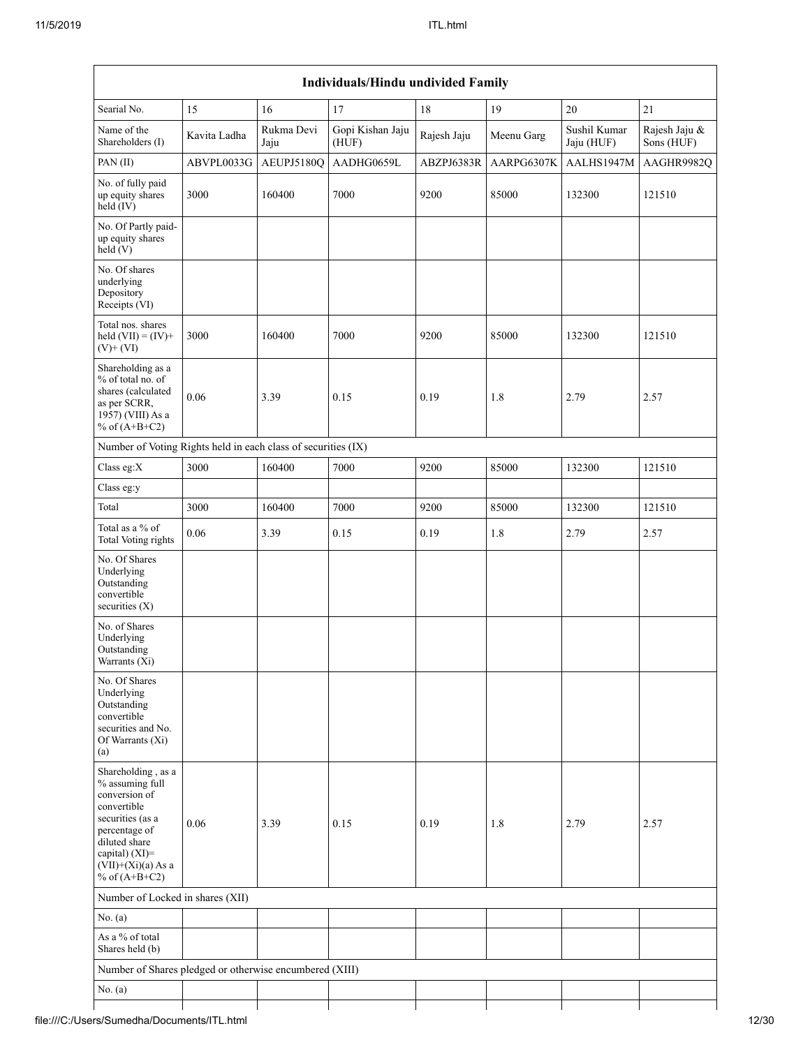|                                                                                                                                                                                             |              |                    | Individuals/Hindu undivided Family |             |            |                            |                             |
|---------------------------------------------------------------------------------------------------------------------------------------------------------------------------------------------|--------------|--------------------|------------------------------------|-------------|------------|----------------------------|-----------------------------|
| Searial No.                                                                                                                                                                                 | 15           | 16                 | 17                                 | 18          | 19         | $20\,$                     | $21\,$                      |
| Name of the<br>Shareholders (I)                                                                                                                                                             | Kavita Ladha | Rukma Devi<br>Jaju | Gopi Kishan Jaju<br>(HUF)          | Rajesh Jaju | Meenu Garg | Sushil Kumar<br>Jaju (HUF) | Rajesh Jaju &<br>Sons (HUF) |
| PAN(II)                                                                                                                                                                                     | ABVPL0033G   | AEUPJ5180Q         | AADHG0659L                         | ABZPJ6383R  | AARPG6307K | AALHS1947M                 | AAGHR9982Q                  |
| No. of fully paid<br>up equity shares<br>held (IV)                                                                                                                                          | 3000         | 160400             | 7000                               | 9200        | 85000      | 132300                     | 121510                      |
| No. Of Partly paid-<br>up equity shares<br>held (V)                                                                                                                                         |              |                    |                                    |             |            |                            |                             |
| No. Of shares<br>underlying<br>Depository<br>Receipts (VI)                                                                                                                                  |              |                    |                                    |             |            |                            |                             |
| Total nos. shares<br>held $(VII) = (IV) +$<br>$(V)$ + $(VI)$                                                                                                                                | 3000         | 160400             | 7000                               | 9200        | 85000      | 132300                     | 121510                      |
| Shareholding as a<br>% of total no. of<br>shares (calculated<br>as per SCRR,<br>1957) (VIII) As a<br>% of $(A+B+C2)$                                                                        | 0.06         | 3.39               | 0.15                               | 0.19        | 1.8        | 2.79                       | 2.57                        |
| Number of Voting Rights held in each class of securities (IX)                                                                                                                               |              |                    |                                    |             |            |                            |                             |
| Class eg:X                                                                                                                                                                                  | 3000         | 160400             | 7000                               | 9200        | 85000      | 132300                     | 121510                      |
| Class eg:y                                                                                                                                                                                  |              |                    |                                    |             |            |                            |                             |
| Total                                                                                                                                                                                       | 3000         | 160400             | 7000                               | 9200        | 85000      | 132300                     | 121510                      |
| Total as a % of<br><b>Total Voting rights</b>                                                                                                                                               | 0.06         | 3.39               | 0.15                               | 0.19        | 1.8        | 2.79                       | 2.57                        |
| No. Of Shares<br>Underlying<br>Outstanding<br>convertible<br>securities $(X)$                                                                                                               |              |                    |                                    |             |            |                            |                             |
| No. of Shares<br>Underlying<br>Outstanding<br>Warrants (Xi)                                                                                                                                 |              |                    |                                    |             |            |                            |                             |
| No. Of Shares<br>Underlying<br>Outstanding<br>convertible<br>securities and No.<br>Of Warrants (Xi)<br>(a)                                                                                  |              |                    |                                    |             |            |                            |                             |
| Shareholding, as a<br>% assuming full<br>conversion of<br>convertible<br>securities (as a<br>percentage of<br>diluted share<br>capital) $(XI)$ =<br>$(VII)+(Xi)(a) As a$<br>% of $(A+B+C2)$ | 0.06         | 3.39               | 0.15                               | 0.19        | 1.8        | 2.79                       | 2.57                        |
| Number of Locked in shares (XII)                                                                                                                                                            |              |                    |                                    |             |            |                            |                             |
| No. (a)                                                                                                                                                                                     |              |                    |                                    |             |            |                            |                             |
| As a % of total<br>Shares held (b)                                                                                                                                                          |              |                    |                                    |             |            |                            |                             |
| Number of Shares pledged or otherwise encumbered (XIII)                                                                                                                                     |              |                    |                                    |             |            |                            |                             |
| No. (a)                                                                                                                                                                                     |              |                    |                                    |             |            |                            |                             |
|                                                                                                                                                                                             |              |                    |                                    |             |            |                            |                             |

# file:///C:/Users/Sumedha/Documents/ITL.html 12/30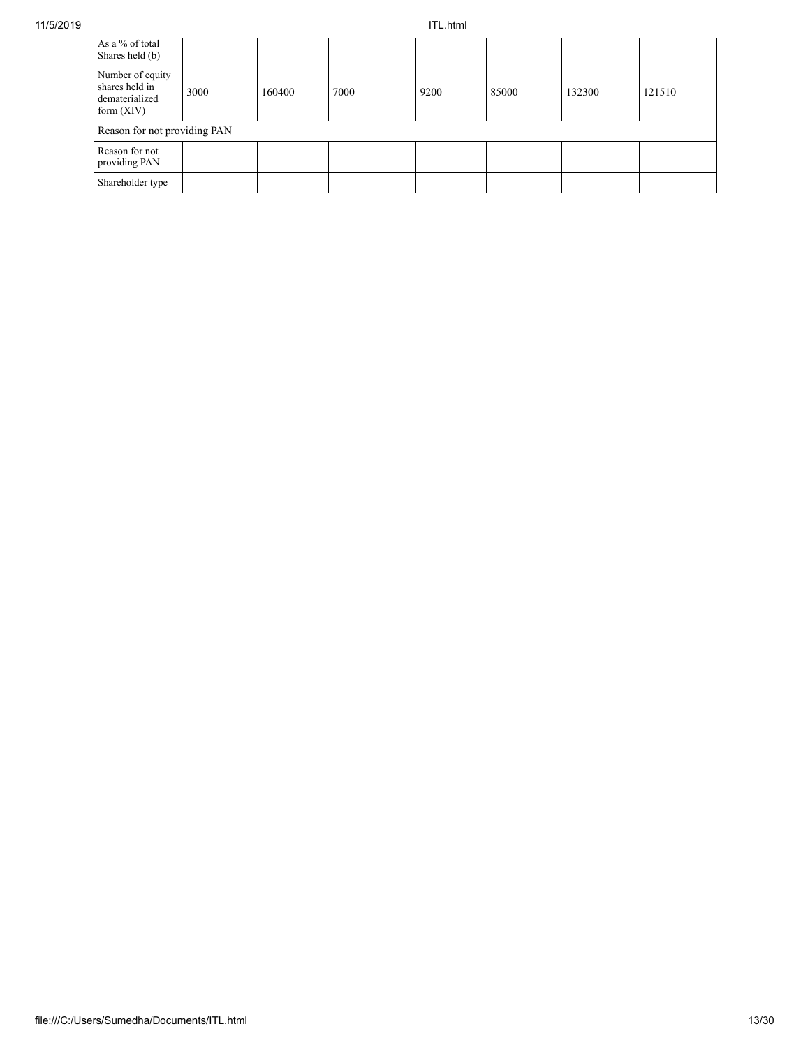| As a % of total<br>Shares held (b)                                   |      |        |      |      |       |        |        |
|----------------------------------------------------------------------|------|--------|------|------|-------|--------|--------|
| Number of equity<br>shares held in<br>dematerialized<br>form $(XIV)$ | 3000 | 160400 | 7000 | 9200 | 85000 | 132300 | 121510 |
| Reason for not providing PAN                                         |      |        |      |      |       |        |        |
| Reason for not<br>providing PAN                                      |      |        |      |      |       |        |        |
| Shareholder type                                                     |      |        |      |      |       |        |        |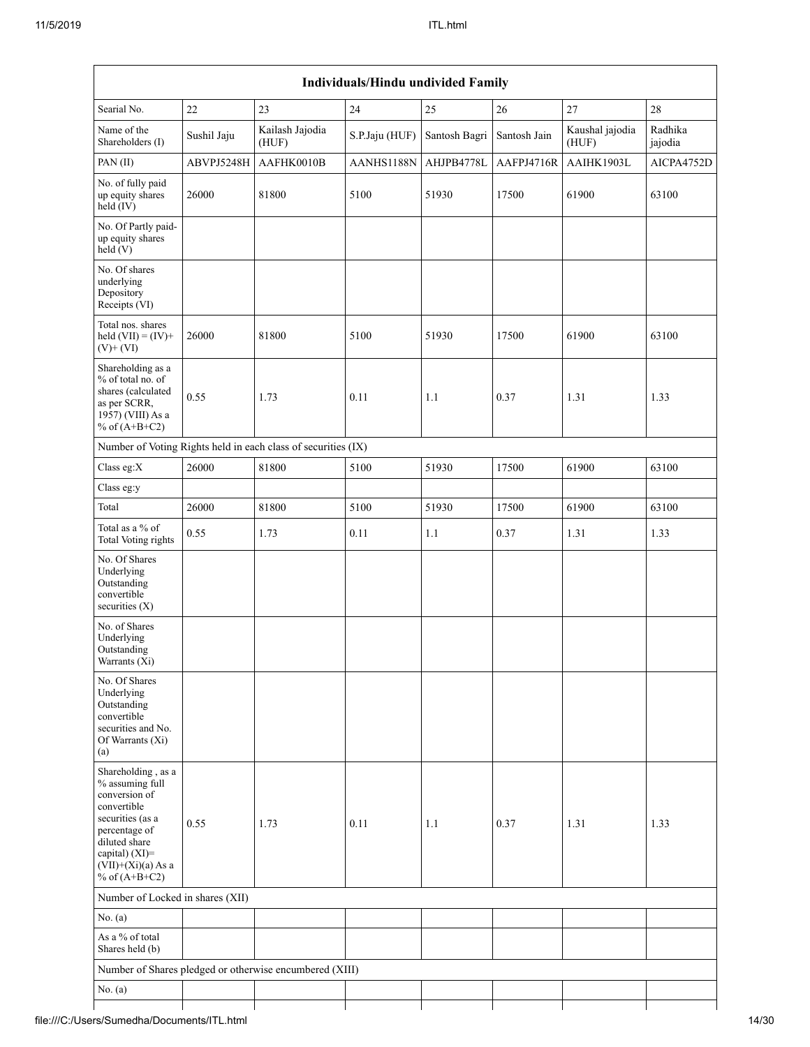| Searial No.                                                                                                                                                                              | $22\,$      | 23                                                            | $24\,$         | 25            | $26\,$       | $27\,$                   | 28                 |
|------------------------------------------------------------------------------------------------------------------------------------------------------------------------------------------|-------------|---------------------------------------------------------------|----------------|---------------|--------------|--------------------------|--------------------|
| Name of the<br>Shareholders (I)                                                                                                                                                          | Sushil Jaju | Kailash Jajodia<br>(HUF)                                      | S.P.Jaju (HUF) | Santosh Bagri | Santosh Jain | Kaushal jajodia<br>(HUF) | Radhika<br>jajodia |
| PAN(II)                                                                                                                                                                                  | ABVPJ5248H  | AAFHK0010B                                                    | AANHS1188N     | AHJPB4778L    | AAFPJ4716R   | AAIHK1903L               | AICPA4752D         |
| No. of fully paid<br>up equity shares<br>$held$ (IV)                                                                                                                                     | 26000       | 81800                                                         | 5100           | 51930         | 17500        | 61900                    | 63100              |
| No. Of Partly paid-<br>up equity shares<br>held(V)                                                                                                                                       |             |                                                               |                |               |              |                          |                    |
| No. Of shares<br>underlying<br>Depository<br>Receipts (VI)                                                                                                                               |             |                                                               |                |               |              |                          |                    |
| Total nos. shares<br>held $(VII) = (IV) +$<br>$(V)$ + $(VI)$                                                                                                                             | 26000       | 81800                                                         | 5100           | 51930         | 17500        | 61900                    | 63100              |
| Shareholding as a<br>% of total no. of<br>shares (calculated<br>as per SCRR,<br>1957) (VIII) As a<br>% of $(A+B+C2)$                                                                     | 0.55        | 1.73                                                          | 0.11           | 1.1           | 0.37         | 1.31                     | 1.33               |
|                                                                                                                                                                                          |             | Number of Voting Rights held in each class of securities (IX) |                |               |              |                          |                    |
| Class eg:X                                                                                                                                                                               | 26000       | 81800                                                         | 5100           | 51930         | 17500        | 61900                    | 63100              |
| Class eg:y                                                                                                                                                                               |             |                                                               |                |               |              |                          |                    |
| Total                                                                                                                                                                                    | 26000       | 81800                                                         | 5100           | 51930         | 17500        | 61900                    | 63100              |
| Total as a % of<br>Total Voting rights                                                                                                                                                   | 0.55        | 1.73                                                          | 0.11           | $1.1\,$       | 0.37         | 1.31                     | 1.33               |
| No. Of Shares<br>Underlying<br>Outstanding<br>convertible<br>securities (X)                                                                                                              |             |                                                               |                |               |              |                          |                    |
| No. of Shares<br>Underlying<br>Outstanding<br>Warrants (Xi)                                                                                                                              |             |                                                               |                |               |              |                          |                    |
| No. Of Shares<br>Underlying<br>Outstanding<br>convertible<br>securities and No.<br>Of Warrants (Xi)<br>(a)                                                                               |             |                                                               |                |               |              |                          |                    |
| Shareholding, as a<br>% assuming full<br>conversion of<br>convertible<br>securities (as a<br>percentage of<br>diluted share<br>capital) (XI)=<br>$(VII)+(Xi)(a)$ As a<br>% of $(A+B+C2)$ | 0.55        | 1.73                                                          | 0.11           | 1.1           | 0.37         | 1.31                     | 1.33               |
| Number of Locked in shares (XII)                                                                                                                                                         |             |                                                               |                |               |              |                          |                    |
| No. $(a)$                                                                                                                                                                                |             |                                                               |                |               |              |                          |                    |
| As a % of total<br>Shares held (b)                                                                                                                                                       |             |                                                               |                |               |              |                          |                    |
|                                                                                                                                                                                          |             | Number of Shares pledged or otherwise encumbered (XIII)       |                |               |              |                          |                    |
| No. $(a)$                                                                                                                                                                                |             |                                                               |                |               |              |                          |                    |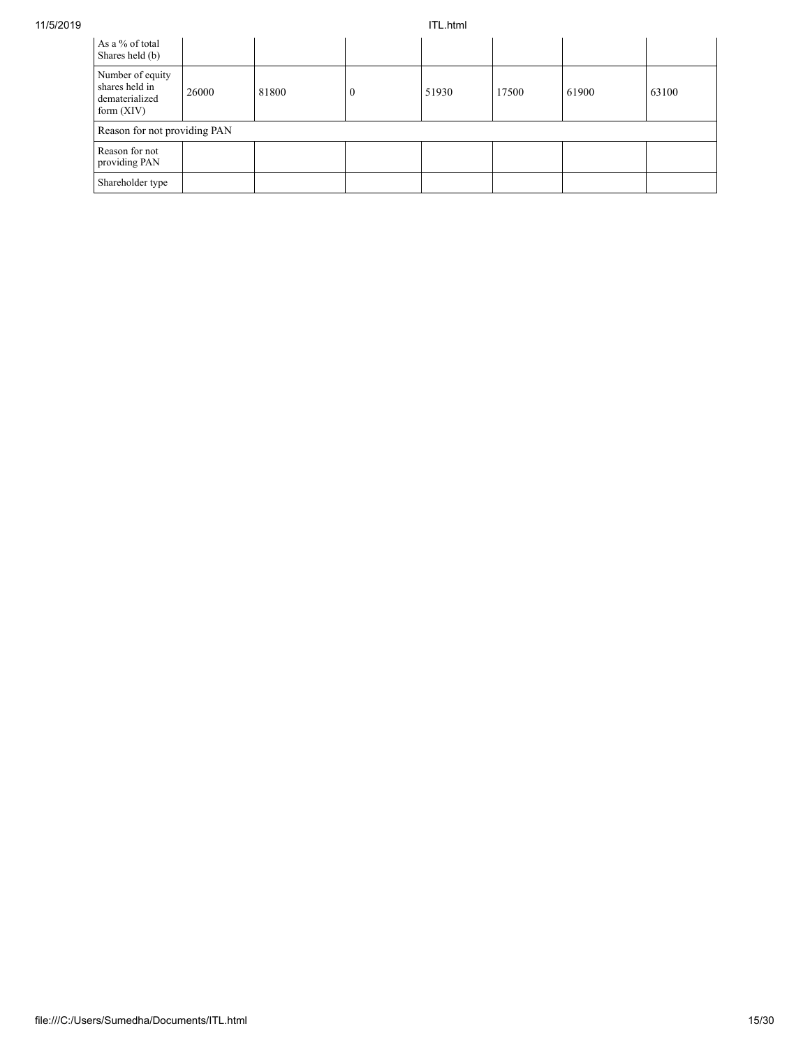| As a % of total<br>Shares held (b)                                   |       |       |          |       |       |       |       |
|----------------------------------------------------------------------|-------|-------|----------|-------|-------|-------|-------|
| Number of equity<br>shares held in<br>dematerialized<br>form $(XIV)$ | 26000 | 81800 | $\theta$ | 51930 | 17500 | 61900 | 63100 |
| Reason for not providing PAN                                         |       |       |          |       |       |       |       |
| Reason for not<br>providing PAN                                      |       |       |          |       |       |       |       |
| Shareholder type                                                     |       |       |          |       |       |       |       |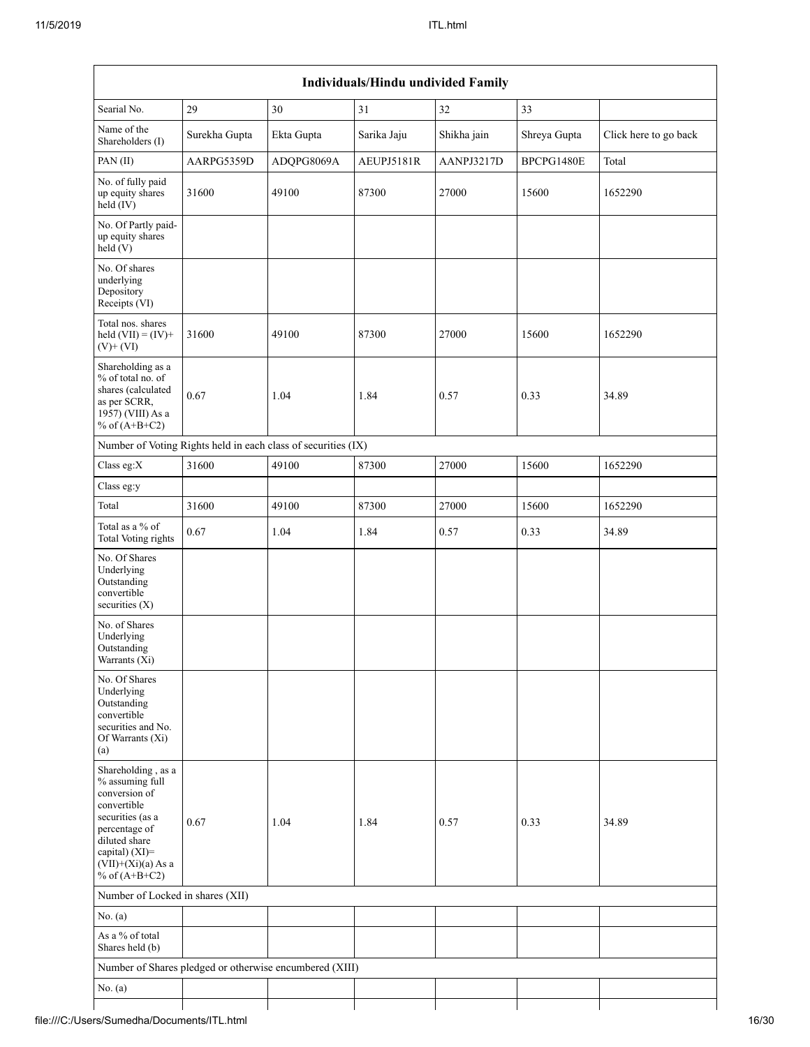| Name of the<br>Surekha Gupta<br>Ekta Gupta<br>Sarika Jaju<br>Shikha jain<br>Shreya Gupta<br>Shareholders (I)<br>PAN(II)<br>AARPG5359D<br>ADQPG8069A<br>AEUPJ5181R<br>AANPJ3217D<br>BPCPG1480E<br>Total<br>No. of fully paid<br>31600<br>49100<br>87300<br>27000<br>up equity shares<br>15600<br>1652290<br>$\text{held}(\text{IV})$<br>No. Of Partly paid-<br>up equity shares<br>held(V)<br>No. Of shares<br>underlying<br>Depository<br>Receipts (VI)<br>Total nos. shares<br>31600<br>87300<br>49100<br>27000<br>15600<br>1652290<br>held $(VII) = (IV) +$<br>$(V)$ + $(VI)$<br>Shareholding as a<br>% of total no. of<br>shares (calculated<br>0.67<br>1.04<br>34.89<br>1.84<br>0.57<br>0.33<br>as per SCRR,<br>1957) (VIII) As a<br>% of $(A+B+C2)$<br>Number of Voting Rights held in each class of securities (IX)<br>Class eg:X<br>31600<br>49100<br>87300<br>27000<br>15600<br>1652290<br>Class eg:y<br>Total<br>31600<br>49100<br>87300<br>27000<br>15600<br>1652290<br>Total as a % of<br>0.67<br>34.89<br>1.04<br>1.84<br>0.33<br>0.57<br><b>Total Voting rights</b><br>No. Of Shares<br>Underlying<br>Outstanding<br>convertible<br>securities (X)<br>No. of Shares<br>Underlying<br>Outstanding<br>Warrants (Xi)<br>No. Of Shares<br>Underlying<br>Outstanding<br>convertible<br>securities and No.<br>Of Warrants (Xi)<br>(a)<br>Shareholding, as a<br>% assuming full<br>conversion of<br>convertible<br>securities (as a<br>0.67<br>1.84<br>0.57<br>0.33<br>34.89<br>1.04<br>percentage of<br>diluted share | Searial No. | 29 | 30 | 31 | 32 | 33 |                       |
|------------------------------------------------------------------------------------------------------------------------------------------------------------------------------------------------------------------------------------------------------------------------------------------------------------------------------------------------------------------------------------------------------------------------------------------------------------------------------------------------------------------------------------------------------------------------------------------------------------------------------------------------------------------------------------------------------------------------------------------------------------------------------------------------------------------------------------------------------------------------------------------------------------------------------------------------------------------------------------------------------------------------------------------------------------------------------------------------------------------------------------------------------------------------------------------------------------------------------------------------------------------------------------------------------------------------------------------------------------------------------------------------------------------------------------------------------------------------------------------------------------------------------|-------------|----|----|----|----|----|-----------------------|
|                                                                                                                                                                                                                                                                                                                                                                                                                                                                                                                                                                                                                                                                                                                                                                                                                                                                                                                                                                                                                                                                                                                                                                                                                                                                                                                                                                                                                                                                                                                              |             |    |    |    |    |    | Click here to go back |
|                                                                                                                                                                                                                                                                                                                                                                                                                                                                                                                                                                                                                                                                                                                                                                                                                                                                                                                                                                                                                                                                                                                                                                                                                                                                                                                                                                                                                                                                                                                              |             |    |    |    |    |    |                       |
|                                                                                                                                                                                                                                                                                                                                                                                                                                                                                                                                                                                                                                                                                                                                                                                                                                                                                                                                                                                                                                                                                                                                                                                                                                                                                                                                                                                                                                                                                                                              |             |    |    |    |    |    |                       |
|                                                                                                                                                                                                                                                                                                                                                                                                                                                                                                                                                                                                                                                                                                                                                                                                                                                                                                                                                                                                                                                                                                                                                                                                                                                                                                                                                                                                                                                                                                                              |             |    |    |    |    |    |                       |
|                                                                                                                                                                                                                                                                                                                                                                                                                                                                                                                                                                                                                                                                                                                                                                                                                                                                                                                                                                                                                                                                                                                                                                                                                                                                                                                                                                                                                                                                                                                              |             |    |    |    |    |    |                       |
|                                                                                                                                                                                                                                                                                                                                                                                                                                                                                                                                                                                                                                                                                                                                                                                                                                                                                                                                                                                                                                                                                                                                                                                                                                                                                                                                                                                                                                                                                                                              |             |    |    |    |    |    |                       |
|                                                                                                                                                                                                                                                                                                                                                                                                                                                                                                                                                                                                                                                                                                                                                                                                                                                                                                                                                                                                                                                                                                                                                                                                                                                                                                                                                                                                                                                                                                                              |             |    |    |    |    |    |                       |
|                                                                                                                                                                                                                                                                                                                                                                                                                                                                                                                                                                                                                                                                                                                                                                                                                                                                                                                                                                                                                                                                                                                                                                                                                                                                                                                                                                                                                                                                                                                              |             |    |    |    |    |    |                       |
|                                                                                                                                                                                                                                                                                                                                                                                                                                                                                                                                                                                                                                                                                                                                                                                                                                                                                                                                                                                                                                                                                                                                                                                                                                                                                                                                                                                                                                                                                                                              |             |    |    |    |    |    |                       |
|                                                                                                                                                                                                                                                                                                                                                                                                                                                                                                                                                                                                                                                                                                                                                                                                                                                                                                                                                                                                                                                                                                                                                                                                                                                                                                                                                                                                                                                                                                                              |             |    |    |    |    |    |                       |
|                                                                                                                                                                                                                                                                                                                                                                                                                                                                                                                                                                                                                                                                                                                                                                                                                                                                                                                                                                                                                                                                                                                                                                                                                                                                                                                                                                                                                                                                                                                              |             |    |    |    |    |    |                       |
|                                                                                                                                                                                                                                                                                                                                                                                                                                                                                                                                                                                                                                                                                                                                                                                                                                                                                                                                                                                                                                                                                                                                                                                                                                                                                                                                                                                                                                                                                                                              |             |    |    |    |    |    |                       |
|                                                                                                                                                                                                                                                                                                                                                                                                                                                                                                                                                                                                                                                                                                                                                                                                                                                                                                                                                                                                                                                                                                                                                                                                                                                                                                                                                                                                                                                                                                                              |             |    |    |    |    |    |                       |
|                                                                                                                                                                                                                                                                                                                                                                                                                                                                                                                                                                                                                                                                                                                                                                                                                                                                                                                                                                                                                                                                                                                                                                                                                                                                                                                                                                                                                                                                                                                              |             |    |    |    |    |    |                       |
|                                                                                                                                                                                                                                                                                                                                                                                                                                                                                                                                                                                                                                                                                                                                                                                                                                                                                                                                                                                                                                                                                                                                                                                                                                                                                                                                                                                                                                                                                                                              |             |    |    |    |    |    |                       |
| capital) (XI)=<br>$(VII)+(Xi)(a)$ As a<br>% of $(A+B+C2)$                                                                                                                                                                                                                                                                                                                                                                                                                                                                                                                                                                                                                                                                                                                                                                                                                                                                                                                                                                                                                                                                                                                                                                                                                                                                                                                                                                                                                                                                    |             |    |    |    |    |    |                       |
| Number of Locked in shares (XII)                                                                                                                                                                                                                                                                                                                                                                                                                                                                                                                                                                                                                                                                                                                                                                                                                                                                                                                                                                                                                                                                                                                                                                                                                                                                                                                                                                                                                                                                                             |             |    |    |    |    |    |                       |
| No. (a)                                                                                                                                                                                                                                                                                                                                                                                                                                                                                                                                                                                                                                                                                                                                                                                                                                                                                                                                                                                                                                                                                                                                                                                                                                                                                                                                                                                                                                                                                                                      |             |    |    |    |    |    |                       |
| As a % of total<br>Shares held (b)                                                                                                                                                                                                                                                                                                                                                                                                                                                                                                                                                                                                                                                                                                                                                                                                                                                                                                                                                                                                                                                                                                                                                                                                                                                                                                                                                                                                                                                                                           |             |    |    |    |    |    |                       |
| Number of Shares pledged or otherwise encumbered (XIII)                                                                                                                                                                                                                                                                                                                                                                                                                                                                                                                                                                                                                                                                                                                                                                                                                                                                                                                                                                                                                                                                                                                                                                                                                                                                                                                                                                                                                                                                      |             |    |    |    |    |    |                       |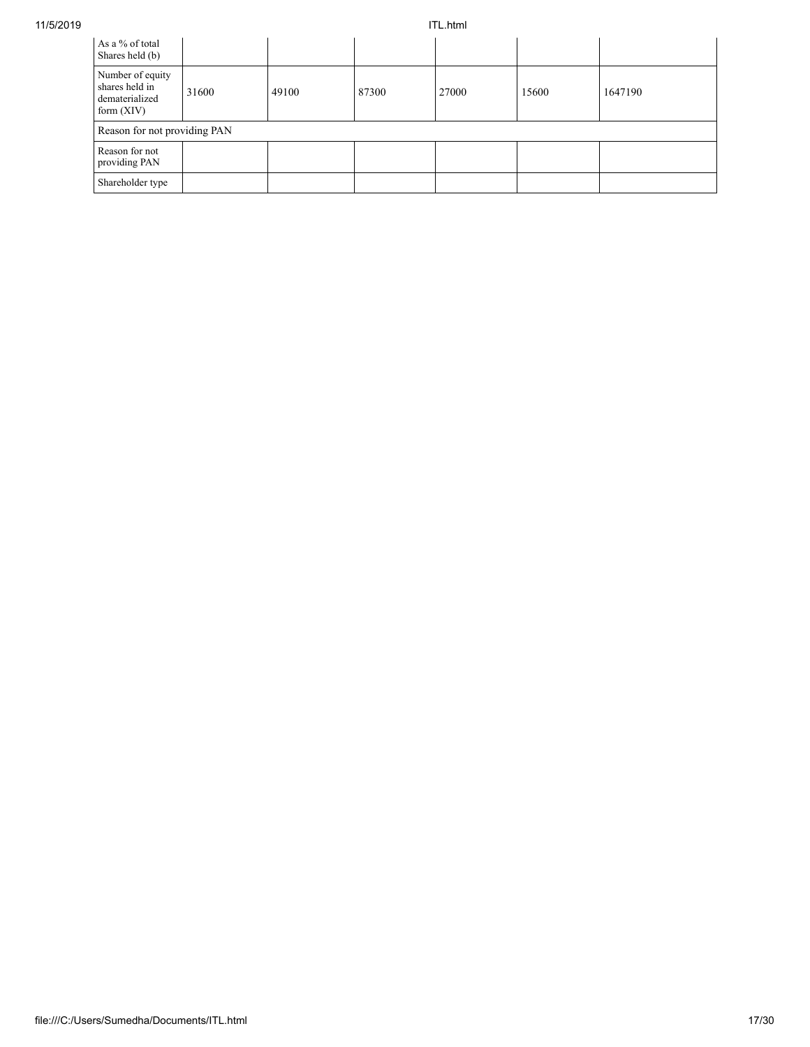| As a % of total<br>Shares held (b)                                   |       |       |       |       |       |         |
|----------------------------------------------------------------------|-------|-------|-------|-------|-------|---------|
| Number of equity<br>shares held in<br>dematerialized<br>form $(XIV)$ | 31600 | 49100 | 87300 | 27000 | 15600 | 1647190 |
| Reason for not providing PAN                                         |       |       |       |       |       |         |
| Reason for not<br>providing PAN                                      |       |       |       |       |       |         |
| Shareholder type                                                     |       |       |       |       |       |         |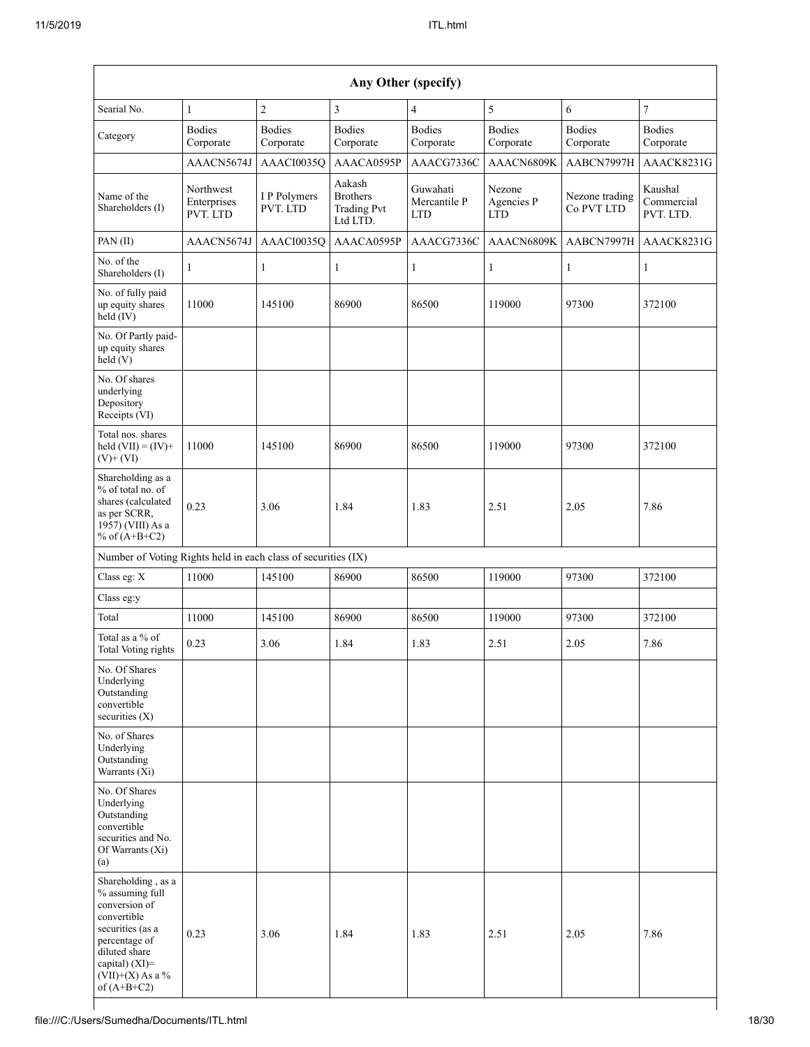|                                                                                                                                                                                         | Any Other (specify)                  |                            |                                                             |                                        |                                    |                              |                                    |
|-----------------------------------------------------------------------------------------------------------------------------------------------------------------------------------------|--------------------------------------|----------------------------|-------------------------------------------------------------|----------------------------------------|------------------------------------|------------------------------|------------------------------------|
| Searial No.                                                                                                                                                                             | $\mathbf{1}$                         | $\sqrt{2}$                 | 3                                                           | $\overline{4}$                         | 5                                  | 6                            | $\boldsymbol{7}$                   |
| Category                                                                                                                                                                                | <b>Bodies</b><br>Corporate           | <b>Bodies</b><br>Corporate | <b>Bodies</b><br>Corporate                                  | <b>Bodies</b><br>Corporate             | <b>Bodies</b><br>Corporate         | <b>Bodies</b><br>Corporate   | <b>Bodies</b><br>Corporate         |
|                                                                                                                                                                                         | AAACN5674J                           | AAACI0035Q                 | AAACA0595P                                                  | AAACG7336C                             | AAACN6809K                         | AABCN7997H                   | AAACK8231G                         |
| Name of the<br>Shareholders (I)                                                                                                                                                         | Northwest<br>Enterprises<br>PVT. LTD | I P Polymers<br>PVT. LTD   | Aakash<br><b>Brothers</b><br><b>Trading Pvt</b><br>Ltd LTD. | Guwahati<br>Mercantile P<br><b>LTD</b> | Nezone<br>Agencies P<br><b>LTD</b> | Nezone trading<br>Co PVT LTD | Kaushal<br>Commercial<br>PVT. LTD. |
| PAN (II)                                                                                                                                                                                | AAACN5674J                           | AAACI0035Q                 | AAACA0595P                                                  | AAACG7336C                             | AAACN6809K                         | AABCN7997H                   | AAACK8231G                         |
| No. of the<br>Shareholders (I)                                                                                                                                                          | 1                                    | $\mathbf{1}$               | 1                                                           | $\mathbf{1}$                           | 1                                  | $\mathbf{1}$                 | $\mathbf{1}$                       |
| No. of fully paid<br>up equity shares<br>held (IV)                                                                                                                                      | 11000                                | 145100                     | 86900                                                       | 86500                                  | 119000                             | 97300                        | 372100                             |
| No. Of Partly paid-<br>up equity shares<br>held(V)                                                                                                                                      |                                      |                            |                                                             |                                        |                                    |                              |                                    |
| No. Of shares<br>underlying<br>Depository<br>Receipts (VI)                                                                                                                              |                                      |                            |                                                             |                                        |                                    |                              |                                    |
| Total nos. shares<br>held $(VII) = (IV) +$<br>$(V)$ + $(VI)$                                                                                                                            | 11000                                | 145100                     | 86900                                                       | 86500                                  | 119000                             | 97300                        | 372100                             |
| Shareholding as a<br>% of total no. of<br>shares (calculated<br>as per SCRR,<br>1957) (VIII) As a<br>% of $(A+B+C2)$                                                                    | 0.23                                 | 3.06                       | 1.84                                                        | 1.83                                   | 2.51                               | 2.05                         | 7.86                               |
| Number of Voting Rights held in each class of securities (IX)                                                                                                                           |                                      |                            |                                                             |                                        |                                    |                              |                                    |
| Class eg: X                                                                                                                                                                             | 11000                                | 145100                     | 86900                                                       | 86500                                  | 119000                             | 97300                        | 372100                             |
| Class eg:y                                                                                                                                                                              |                                      |                            |                                                             |                                        |                                    |                              |                                    |
| Total                                                                                                                                                                                   | 11000                                | 145100                     | 86900                                                       | 86500                                  | 119000                             | 97300                        | 372100                             |
| Total as a % of<br>Total Voting rights                                                                                                                                                  | 0.23                                 | 3.06                       | 1.84                                                        | 1.83                                   | 2.51                               | 2.05                         | 7.86                               |
| No. Of Shares<br>Underlying<br>Outstanding<br>convertible<br>securities $(X)$                                                                                                           |                                      |                            |                                                             |                                        |                                    |                              |                                    |
| No. of Shares<br>Underlying<br>Outstanding<br>Warrants (Xi)                                                                                                                             |                                      |                            |                                                             |                                        |                                    |                              |                                    |
| No. Of Shares<br>Underlying<br>Outstanding<br>convertible<br>securities and No.<br>Of Warrants (Xi)<br>(a)                                                                              |                                      |                            |                                                             |                                        |                                    |                              |                                    |
| Shareholding, as a<br>% assuming full<br>conversion of<br>convertible<br>securities (as a<br>percentage of<br>diluted share<br>capital) $(XI)$ =<br>$(VII)+(X)$ As a %<br>of $(A+B+C2)$ | 0.23                                 | 3.06                       | 1.84                                                        | 1.83                                   | 2.51                               | 2.05                         | 7.86                               |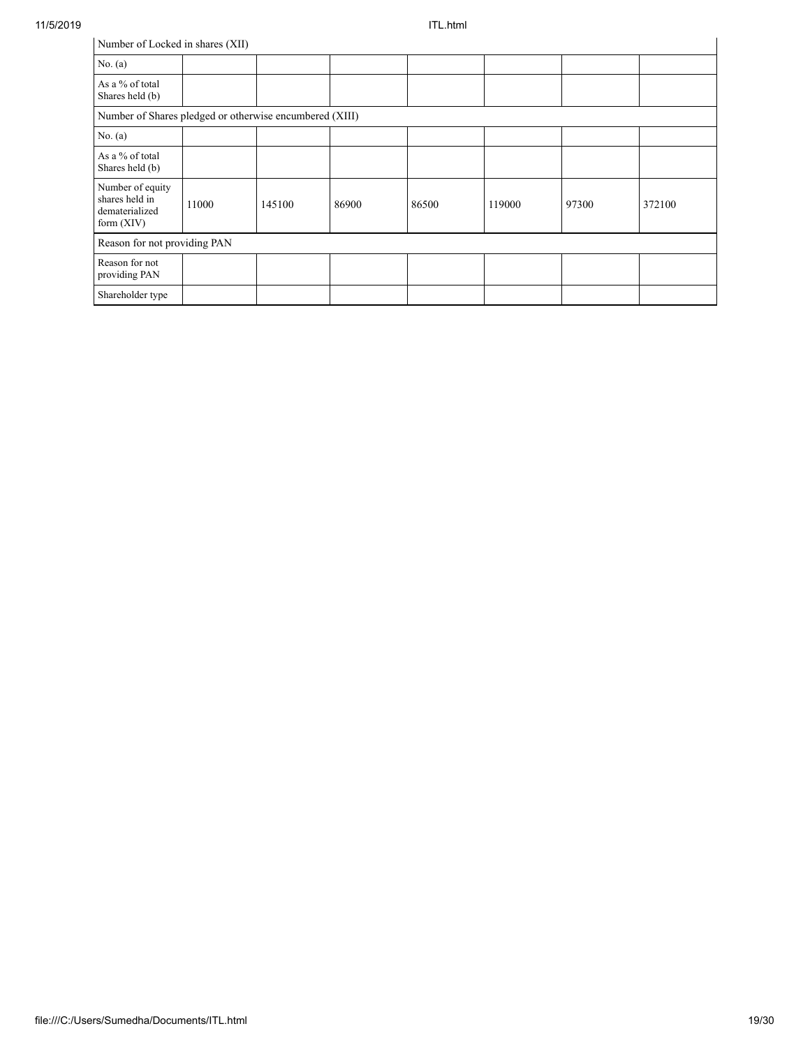l.

| Number of Locked in shares (XII)                                     |       |        |       |       |        |       |        |
|----------------------------------------------------------------------|-------|--------|-------|-------|--------|-------|--------|
| No. $(a)$                                                            |       |        |       |       |        |       |        |
| As a % of total<br>Shares held (b)                                   |       |        |       |       |        |       |        |
| Number of Shares pledged or otherwise encumbered (XIII)              |       |        |       |       |        |       |        |
| No. (a)                                                              |       |        |       |       |        |       |        |
| As a % of total<br>Shares held (b)                                   |       |        |       |       |        |       |        |
| Number of equity<br>shares held in<br>dematerialized<br>form $(XIV)$ | 11000 | 145100 | 86900 | 86500 | 119000 | 97300 | 372100 |
| Reason for not providing PAN                                         |       |        |       |       |        |       |        |
| Reason for not<br>providing PAN                                      |       |        |       |       |        |       |        |
| Shareholder type                                                     |       |        |       |       |        |       |        |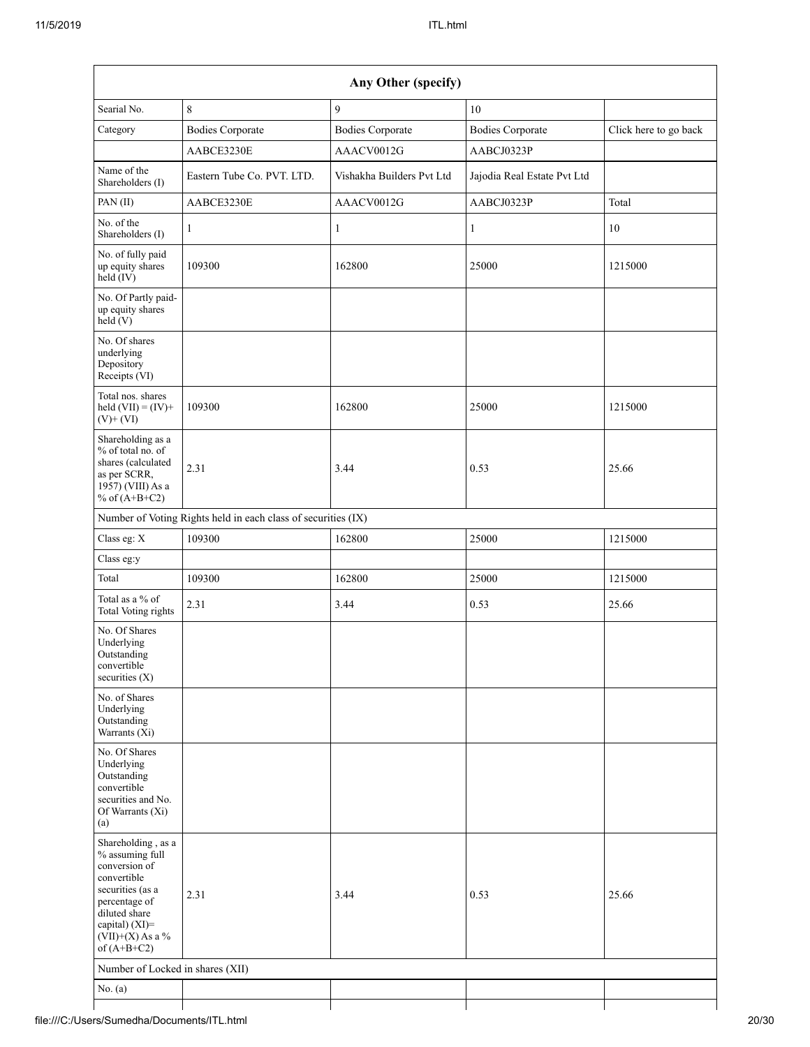|                                                                                                                                                                                      |                                                               | Any Other (specify)       |                             |                       |
|--------------------------------------------------------------------------------------------------------------------------------------------------------------------------------------|---------------------------------------------------------------|---------------------------|-----------------------------|-----------------------|
| Searial No.                                                                                                                                                                          | 8                                                             | 9                         | 10                          |                       |
| Category                                                                                                                                                                             | <b>Bodies Corporate</b>                                       | <b>Bodies Corporate</b>   | <b>Bodies Corporate</b>     | Click here to go back |
|                                                                                                                                                                                      | AABCE3230E                                                    | AAACV0012G                | AABCJ0323P                  |                       |
| Name of the<br>Shareholders (I)                                                                                                                                                      | Eastern Tube Co. PVT. LTD.                                    | Vishakha Builders Pvt Ltd | Jajodia Real Estate Pvt Ltd |                       |
| PAN (II)                                                                                                                                                                             | AABCE3230E                                                    | AAACV0012G                | AABCJ0323P                  | Total                 |
| No. of the<br>Shareholders (I)                                                                                                                                                       | 1                                                             | 1                         | $\mathbf{1}$                | 10                    |
| No. of fully paid<br>up equity shares<br>$\text{held} (IV)$                                                                                                                          | 109300                                                        | 162800                    | 25000                       | 1215000               |
| No. Of Partly paid-<br>up equity shares<br>held (V)                                                                                                                                  |                                                               |                           |                             |                       |
| No. Of shares<br>underlying<br>Depository<br>Receipts (VI)                                                                                                                           |                                                               |                           |                             |                       |
| Total nos. shares<br>held $(VII) = (IV) +$<br>$(V)$ + $(VI)$                                                                                                                         | 109300                                                        | 162800                    | 25000                       | 1215000               |
| Shareholding as a<br>% of total no. of<br>shares (calculated<br>as per SCRR,<br>1957) (VIII) As a<br>% of $(A+B+C2)$                                                                 | 2.31                                                          | 3.44                      | 0.53                        | 25.66                 |
|                                                                                                                                                                                      | Number of Voting Rights held in each class of securities (IX) |                           |                             |                       |
| Class eg: X                                                                                                                                                                          | 109300                                                        | 162800                    | 25000                       | 1215000               |
| Class eg:y                                                                                                                                                                           |                                                               |                           |                             |                       |
| Total                                                                                                                                                                                | 109300                                                        | 162800                    | 25000                       | 1215000               |
| Total as a % of<br><b>Total Voting rights</b>                                                                                                                                        | 2.31                                                          | 3.44                      | 0.53                        | 25.66                 |
| No. Of Shares<br>Underlying<br>Outstanding<br>convertible<br>securities $(X)$                                                                                                        |                                                               |                           |                             |                       |
| No. of Shares<br>Underlying<br>Outstanding<br>Warrants (Xi)                                                                                                                          |                                                               |                           |                             |                       |
| No. Of Shares<br>Underlying<br>Outstanding<br>convertible<br>securities and No.<br>Of Warrants (Xi)<br>(a)                                                                           |                                                               |                           |                             |                       |
| Shareholding, as a<br>% assuming full<br>conversion of<br>convertible<br>securities (as a<br>percentage of<br>diluted share<br>capital) (XI)=<br>$(VII)+(X)$ As a %<br>of $(A+B+C2)$ | 2.31                                                          | 3.44                      | 0.53                        | 25.66                 |
| Number of Locked in shares (XII)                                                                                                                                                     |                                                               |                           |                             |                       |
| No. $(a)$                                                                                                                                                                            |                                                               |                           |                             |                       |
|                                                                                                                                                                                      |                                                               |                           |                             |                       |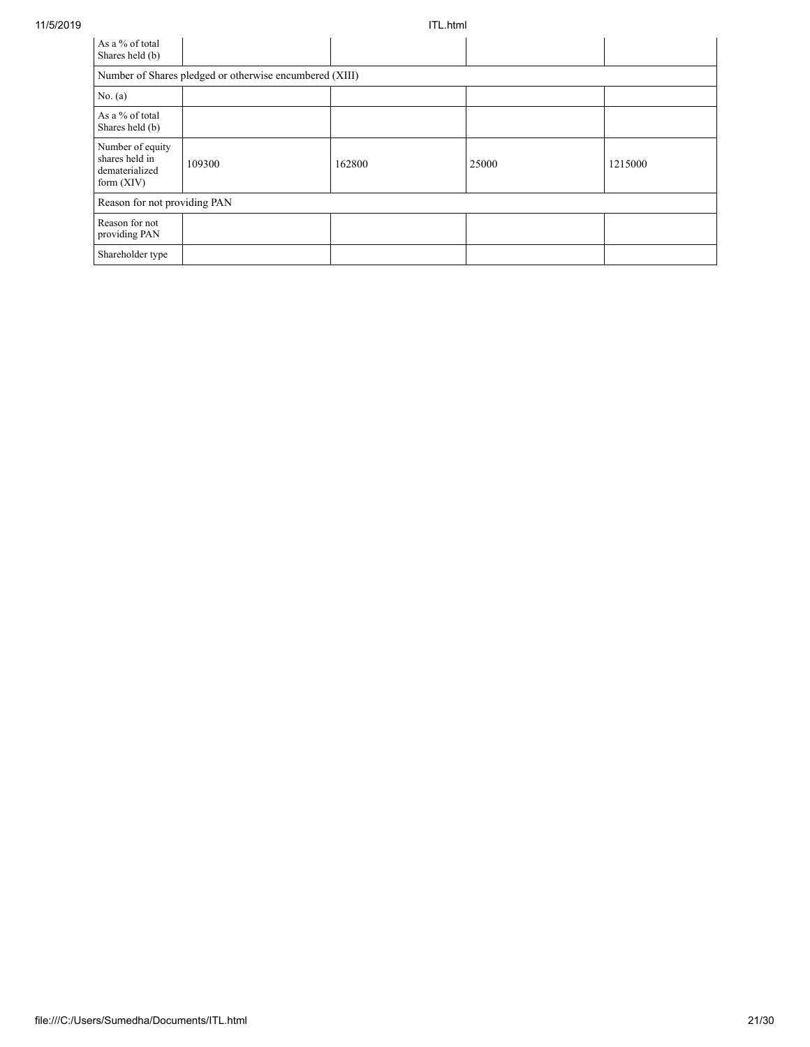| As a % of total<br>Shares held (b)                                   |        |        |       |         |  |  |  |
|----------------------------------------------------------------------|--------|--------|-------|---------|--|--|--|
| Number of Shares pledged or otherwise encumbered (XIII)              |        |        |       |         |  |  |  |
| No. $(a)$                                                            |        |        |       |         |  |  |  |
| As a % of total<br>Shares held (b)                                   |        |        |       |         |  |  |  |
| Number of equity<br>shares held in<br>dematerialized<br>form $(XIV)$ | 109300 | 162800 | 25000 | 1215000 |  |  |  |
| Reason for not providing PAN                                         |        |        |       |         |  |  |  |
| Reason for not<br>providing PAN                                      |        |        |       |         |  |  |  |
| Shareholder type                                                     |        |        |       |         |  |  |  |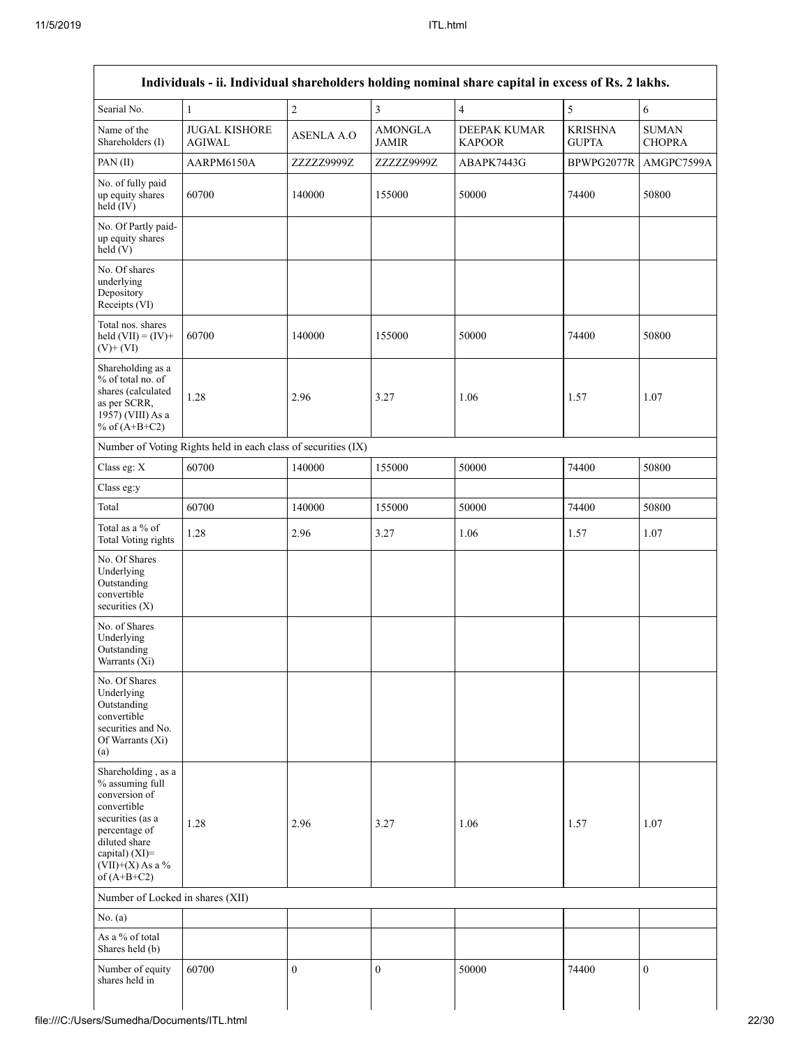| Searial No.                                                                                                                                                                          | $\mathbf{1}$                                                  | $\overline{c}$    | $\overline{3}$                 | $\overline{\mathbf{4}}$       | 5                              | $\sqrt{6}$                    |
|--------------------------------------------------------------------------------------------------------------------------------------------------------------------------------------|---------------------------------------------------------------|-------------------|--------------------------------|-------------------------------|--------------------------------|-------------------------------|
| Name of the<br>Shareholders (I)                                                                                                                                                      | <b>JUGAL KISHORE</b><br><b>AGIWAL</b>                         | <b>ASENLA A.O</b> | <b>AMONGLA</b><br><b>JAMIR</b> | DEEPAK KUMAR<br><b>KAPOOR</b> | <b>KRISHNA</b><br><b>GUPTA</b> | <b>SUMAN</b><br><b>CHOPRA</b> |
| PAN(II)                                                                                                                                                                              | AARPM6150A                                                    | ZZZZZ9999Z        | ZZZZZ9999Z                     | ABAPK7443G                    | BPWPG2077R                     | AMGPC7599A                    |
| No. of fully paid<br>up equity shares<br>held (IV)                                                                                                                                   | 60700                                                         | 140000            | 155000                         | 50000                         | 74400                          | 50800                         |
| No. Of Partly paid-<br>up equity shares<br>held(V)                                                                                                                                   |                                                               |                   |                                |                               |                                |                               |
| No. Of shares<br>underlying<br>Depository<br>Receipts (VI)                                                                                                                           |                                                               |                   |                                |                               |                                |                               |
| Total nos. shares<br>held $(VII) = (IV) +$<br>$(V)+(VI)$                                                                                                                             | 60700                                                         | 140000            | 155000                         | 50000                         | 74400                          | 50800                         |
| Shareholding as a<br>% of total no. of<br>shares (calculated<br>as per SCRR,<br>1957) (VIII) As a<br>% of $(A+B+C2)$                                                                 | 1.28                                                          | 2.96              | 3.27                           | 1.06                          | 1.57                           | 1.07                          |
|                                                                                                                                                                                      | Number of Voting Rights held in each class of securities (IX) |                   |                                |                               |                                |                               |
| Class eg: X                                                                                                                                                                          | 60700                                                         | 140000            | 155000                         | 50000                         | 74400                          | 50800                         |
| Class eg:y                                                                                                                                                                           |                                                               |                   |                                |                               |                                |                               |
| Total                                                                                                                                                                                | 60700                                                         | 140000            | 155000                         | 50000                         | 74400                          | 50800                         |
| Total as a % of<br>Total Voting rights                                                                                                                                               | 1.28                                                          | 2.96              | 3.27                           | 1.06                          | 1.57                           | 1.07                          |
| No. Of Shares<br>Underlying<br>Outstanding<br>convertible<br>securities (X)                                                                                                          |                                                               |                   |                                |                               |                                |                               |
| No. of Shares<br>Underlying<br>Outstanding<br>Warrants (Xi)                                                                                                                          |                                                               |                   |                                |                               |                                |                               |
| No. Of Shares<br>Underlying<br>Outstanding<br>convertible<br>securities and No.<br>Of Warrants (Xi)<br>(a)                                                                           |                                                               |                   |                                |                               |                                |                               |
| Shareholding, as a<br>% assuming full<br>conversion of<br>convertible<br>securities (as a<br>percentage of<br>diluted share<br>capital) (XI)=<br>$(VII)+(X)$ As a %<br>of $(A+B+C2)$ | 1.28                                                          | 2.96              | 3.27                           | 1.06                          | 1.57                           | 1.07                          |
| Number of Locked in shares (XII)                                                                                                                                                     |                                                               |                   |                                |                               |                                |                               |
| No. (a)                                                                                                                                                                              |                                                               |                   |                                |                               |                                |                               |
| As a % of total<br>Shares held (b)                                                                                                                                                   |                                                               |                   |                                |                               |                                |                               |
| Number of equity<br>shares held in                                                                                                                                                   | 60700                                                         | $\boldsymbol{0}$  | $\mathbf{0}$                   | 50000                         | 74400                          | $\mathbf{0}$                  |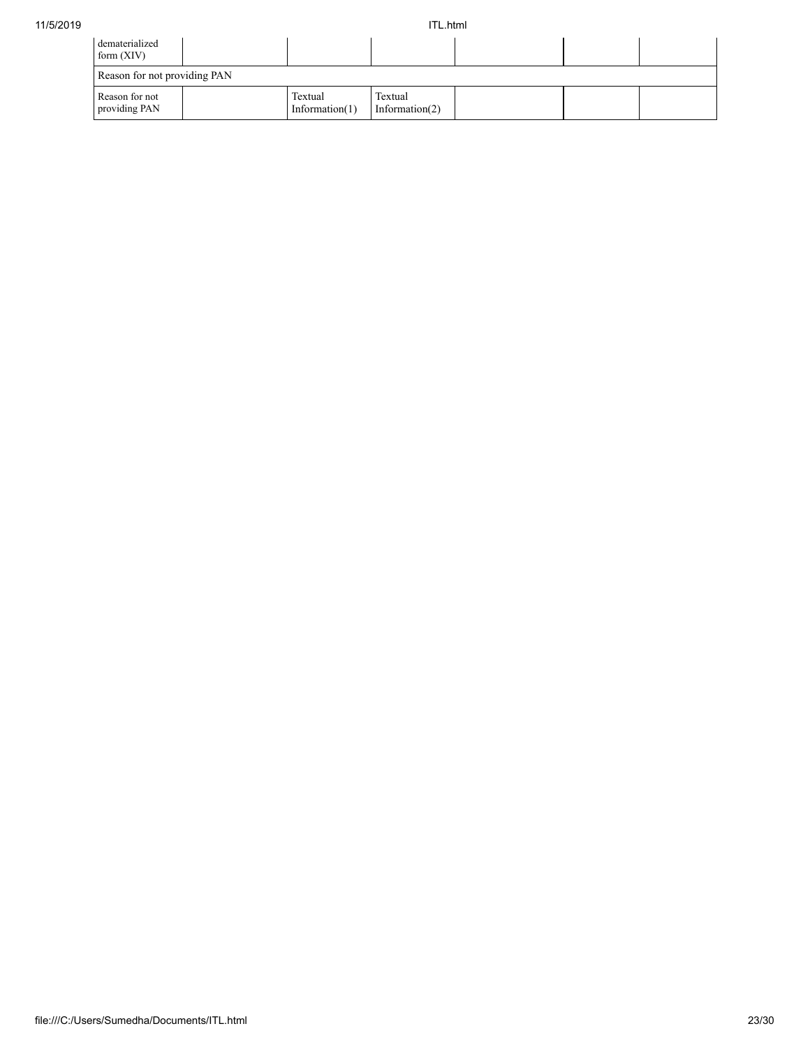| dematerialized<br>form $(XIV)$  |                              |                              |  |  |
|---------------------------------|------------------------------|------------------------------|--|--|
| Reason for not providing PAN    |                              |                              |  |  |
| Reason for not<br>providing PAN | Textual<br>Information $(1)$ | Textual<br>Information $(2)$ |  |  |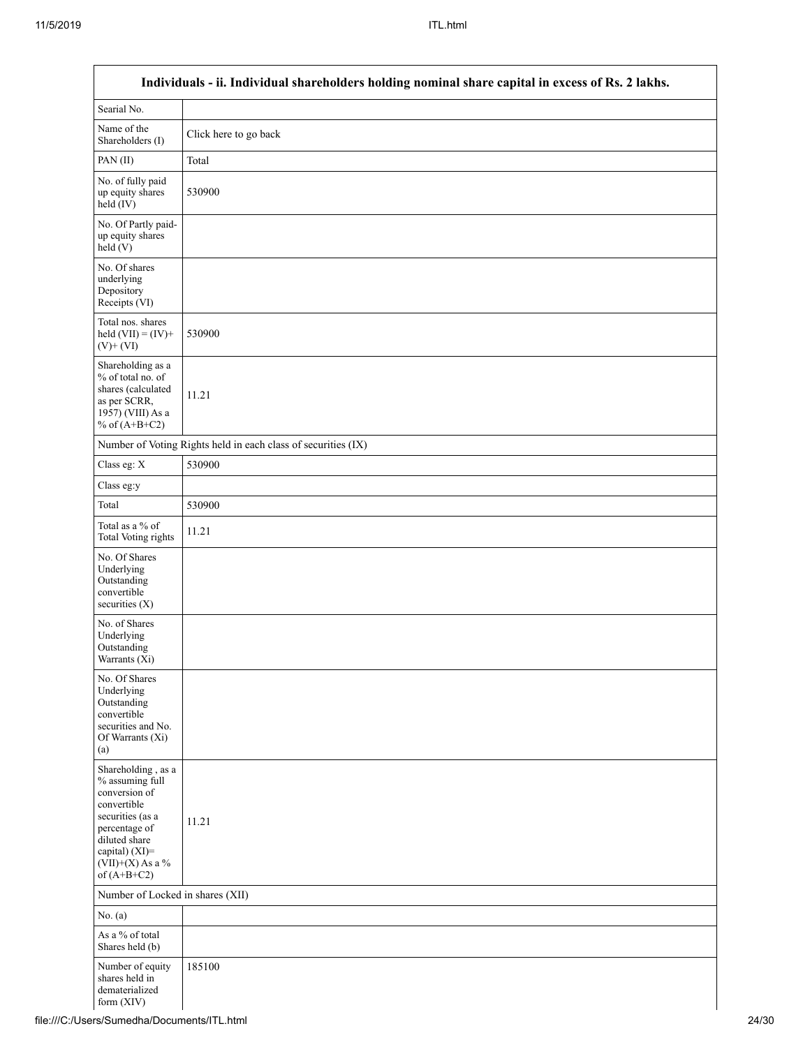|                                                                                                                                                                                      | Individuals - ii. Individual shareholders holding nominal share capital in excess of Rs. 2 lakhs. |
|--------------------------------------------------------------------------------------------------------------------------------------------------------------------------------------|---------------------------------------------------------------------------------------------------|
| Searial No.                                                                                                                                                                          |                                                                                                   |
| Name of the<br>Shareholders (I)                                                                                                                                                      | Click here to go back                                                                             |
| PAN(II)                                                                                                                                                                              | Total                                                                                             |
| No. of fully paid<br>up equity shares<br>$held$ (IV)                                                                                                                                 | 530900                                                                                            |
| No. Of Partly paid-<br>up equity shares<br>held(V)                                                                                                                                   |                                                                                                   |
| No. Of shares<br>underlying<br>Depository<br>Receipts (VI)                                                                                                                           |                                                                                                   |
| Total nos. shares<br>held $(VII) = (IV) +$<br>$(V)$ + $(VI)$                                                                                                                         | 530900                                                                                            |
| Shareholding as a<br>% of total no. of<br>shares (calculated<br>as per SCRR,<br>1957) (VIII) As a<br>% of $(A+B+C2)$                                                                 | 11.21                                                                                             |
|                                                                                                                                                                                      | Number of Voting Rights held in each class of securities (IX)                                     |
| Class eg: X                                                                                                                                                                          | 530900                                                                                            |
| Class eg:y                                                                                                                                                                           |                                                                                                   |
| Total                                                                                                                                                                                | 530900                                                                                            |
| Total as a % of<br>Total Voting rights                                                                                                                                               | 11.21                                                                                             |
| No. Of Shares<br>Underlying<br>Outstanding<br>convertible<br>securities (X)                                                                                                          |                                                                                                   |
| No. of Shares<br>Underlying<br>Outstanding<br>Warrants $(X_i)$                                                                                                                       |                                                                                                   |
| No. Of Shares<br>Underlying<br>Outstanding<br>convertible<br>securities and No.<br>Of Warrants (Xi)<br>(a)                                                                           |                                                                                                   |
| Shareholding, as a<br>% assuming full<br>conversion of<br>convertible<br>securities (as a<br>percentage of<br>diluted share<br>capital) (XI)=<br>$(VII)+(X)$ As a %<br>of $(A+B+C2)$ | 11.21                                                                                             |
| Number of Locked in shares (XII)                                                                                                                                                     |                                                                                                   |
| No. (a)                                                                                                                                                                              |                                                                                                   |
| As a % of total<br>Shares held (b)                                                                                                                                                   |                                                                                                   |
| Number of equity<br>shares held in<br>dematerialized<br>form $(XIV)$                                                                                                                 | 185100                                                                                            |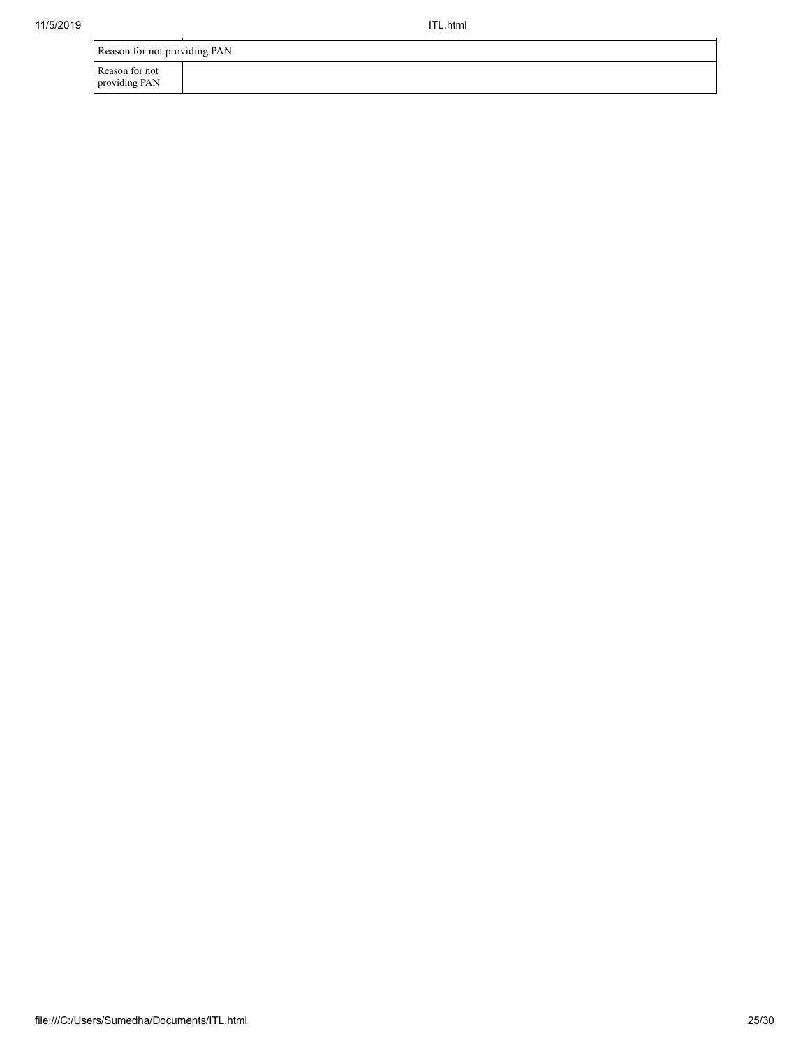| Reason for not providing PAN    |  |  |
|---------------------------------|--|--|
| Reason for not<br>providing PAN |  |  |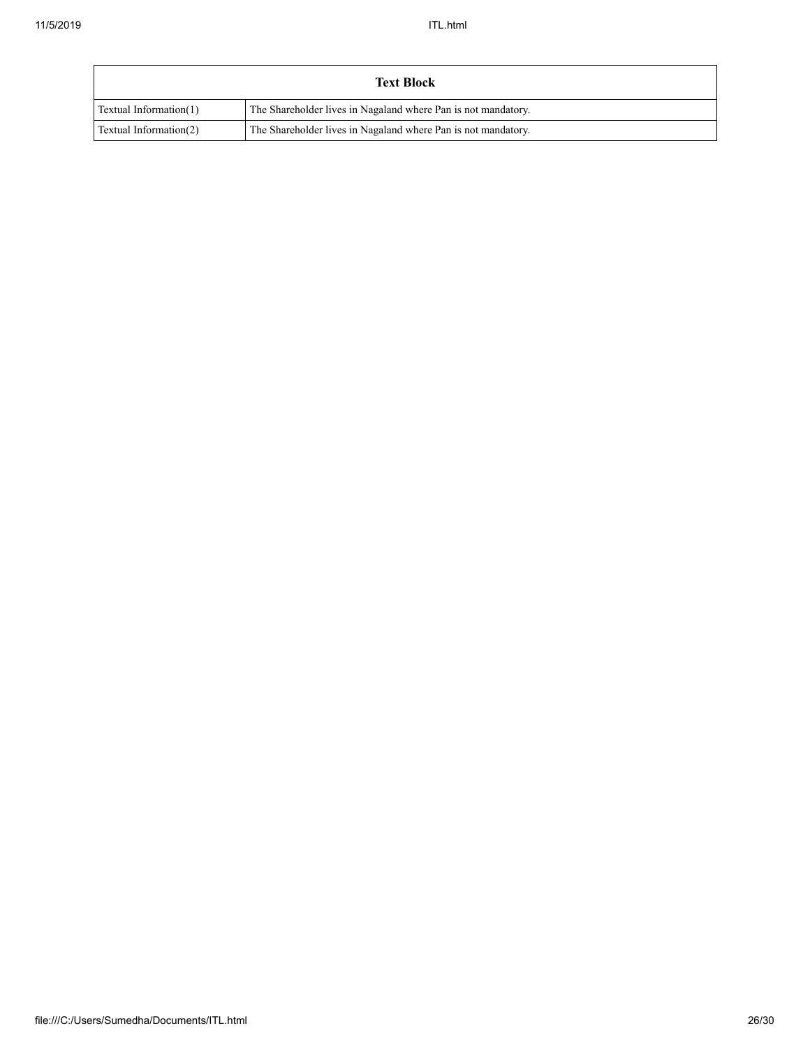| <b>Text Block</b>      |                                                               |  |  |
|------------------------|---------------------------------------------------------------|--|--|
| Textual Information(1) | The Shareholder lives in Nagaland where Pan is not mandatory. |  |  |
| Textual Information(2) | The Shareholder lives in Nagaland where Pan is not mandatory. |  |  |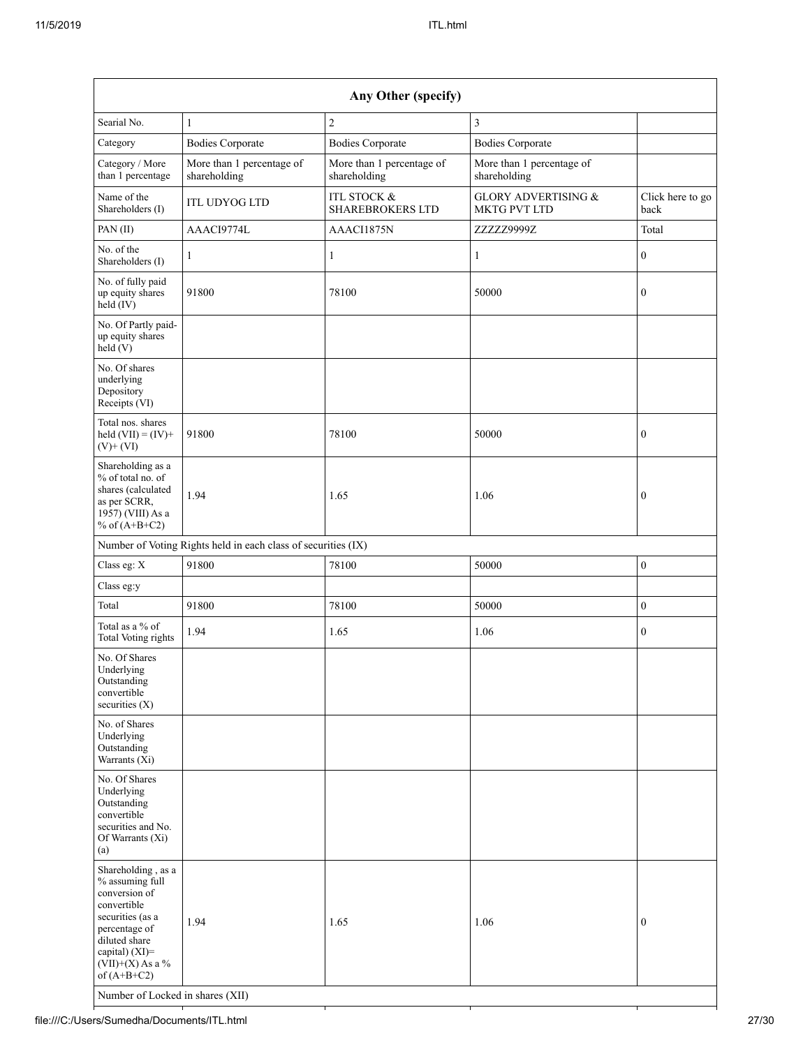| Any Other (specify)                                                                                                                                                                                                      |                                                               |                                                   |                                                |                          |  |
|--------------------------------------------------------------------------------------------------------------------------------------------------------------------------------------------------------------------------|---------------------------------------------------------------|---------------------------------------------------|------------------------------------------------|--------------------------|--|
| Searial No.                                                                                                                                                                                                              | $\mathbf{1}$                                                  | $\overline{c}$                                    | $\overline{3}$                                 |                          |  |
| Category                                                                                                                                                                                                                 | <b>Bodies Corporate</b>                                       | <b>Bodies Corporate</b>                           | <b>Bodies Corporate</b>                        |                          |  |
| Category / More<br>than 1 percentage                                                                                                                                                                                     | More than 1 percentage of<br>shareholding                     | More than 1 percentage of<br>shareholding         | More than 1 percentage of<br>shareholding      |                          |  |
| Name of the<br>Shareholders (I)                                                                                                                                                                                          | <b>ITL UDYOG LTD</b>                                          | <b>ITL STOCK &amp;</b><br><b>SHAREBROKERS LTD</b> | <b>GLORY ADVERTISING &amp;</b><br>MKTG PVT LTD | Click here to go<br>back |  |
| PAN(II)                                                                                                                                                                                                                  | AAACI9774L                                                    | AAACI1875N                                        | ZZZZZ9999Z                                     | Total                    |  |
| No. of the<br>Shareholders (I)                                                                                                                                                                                           | 1                                                             | $\mathbf{1}$                                      | $\mathbf{1}$                                   | $\boldsymbol{0}$         |  |
| No. of fully paid<br>up equity shares<br>$held$ (IV)                                                                                                                                                                     | 91800                                                         | 78100                                             | 50000                                          | $\boldsymbol{0}$         |  |
| No. Of Partly paid-<br>up equity shares<br>held $(V)$                                                                                                                                                                    |                                                               |                                                   |                                                |                          |  |
| No. Of shares<br>underlying<br>Depository<br>Receipts (VI)                                                                                                                                                               |                                                               |                                                   |                                                |                          |  |
| Total nos. shares<br>held $(VII) = (IV) +$<br>$(V)$ + $(VI)$                                                                                                                                                             | 91800                                                         | 78100                                             | 50000                                          | $\mathbf{0}$             |  |
| Shareholding as a<br>% of total no. of<br>shares (calculated<br>as per SCRR,<br>1957) (VIII) As a<br>% of $(A+B+C2)$                                                                                                     | 1.94                                                          | 1.65                                              | 1.06                                           | $\boldsymbol{0}$         |  |
|                                                                                                                                                                                                                          | Number of Voting Rights held in each class of securities (IX) |                                                   |                                                |                          |  |
| Class eg: X                                                                                                                                                                                                              | 91800                                                         | 78100                                             | 50000                                          | $\boldsymbol{0}$         |  |
| Class eg:y                                                                                                                                                                                                               |                                                               |                                                   |                                                |                          |  |
| Total                                                                                                                                                                                                                    | 91800                                                         | 78100                                             | 50000                                          | $\boldsymbol{0}$         |  |
| Total as a % of<br><b>Total Voting rights</b>                                                                                                                                                                            | 1.94                                                          | 1.65                                              | 1.06                                           | $\boldsymbol{0}$         |  |
| No. Of Shares<br>Underlying<br>Outstanding<br>convertible<br>securities $(X)$                                                                                                                                            |                                                               |                                                   |                                                |                          |  |
| No. of Shares<br>Underlying<br>Outstanding<br>Warrants $(X_i)$                                                                                                                                                           |                                                               |                                                   |                                                |                          |  |
| No. Of Shares<br>Underlying<br>Outstanding<br>convertible<br>securities and No.<br>Of Warrants (Xi)<br>(a)                                                                                                               |                                                               |                                                   |                                                |                          |  |
| Shareholding, as a<br>% assuming full<br>conversion of<br>convertible<br>securities (as a<br>percentage of<br>diluted share<br>capital) (XI)=<br>$(VII)+(X)$ As a %<br>of $(A+B+C2)$<br>Number of Locked in shares (XII) | 1.94                                                          | 1.65                                              | 1.06                                           | $\boldsymbol{0}$         |  |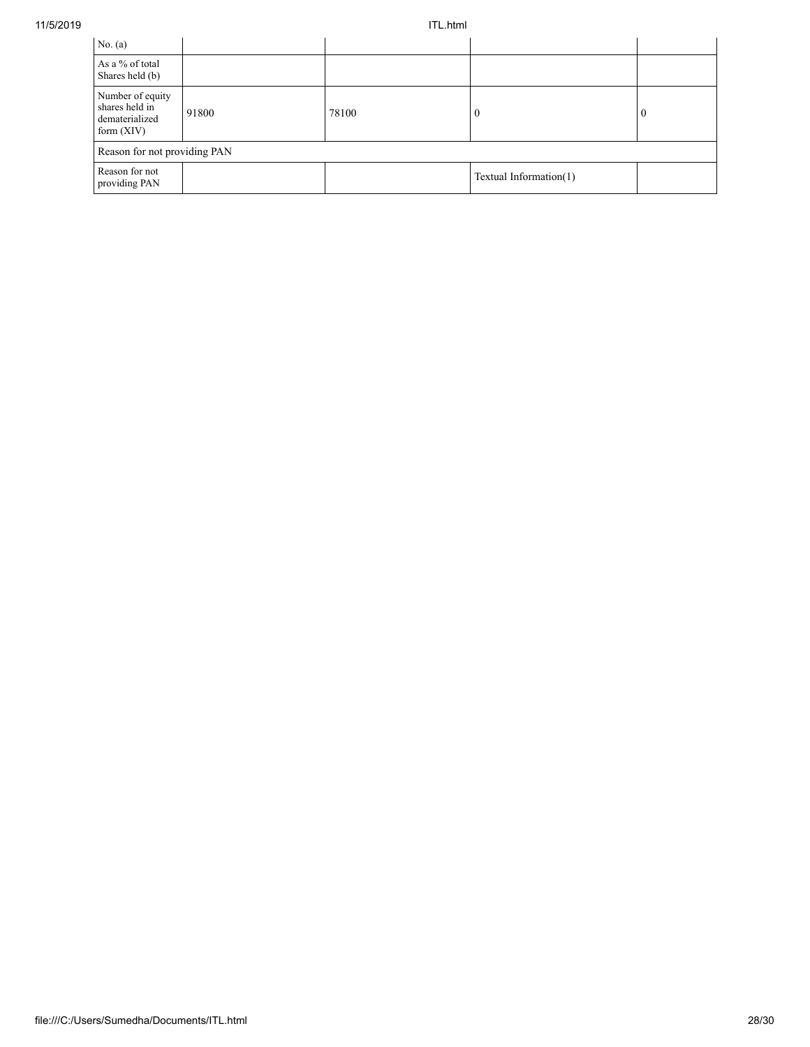| No. (a)                                                              |       |       |                        |              |
|----------------------------------------------------------------------|-------|-------|------------------------|--------------|
| As a % of total<br>Shares held (b)                                   |       |       |                        |              |
| Number of equity<br>shares held in<br>dematerialized<br>form $(XIV)$ | 91800 | 78100 | $\Omega$               | $\mathbf{0}$ |
| Reason for not providing PAN                                         |       |       |                        |              |
| Reason for not<br>providing PAN                                      |       |       | Textual Information(1) |              |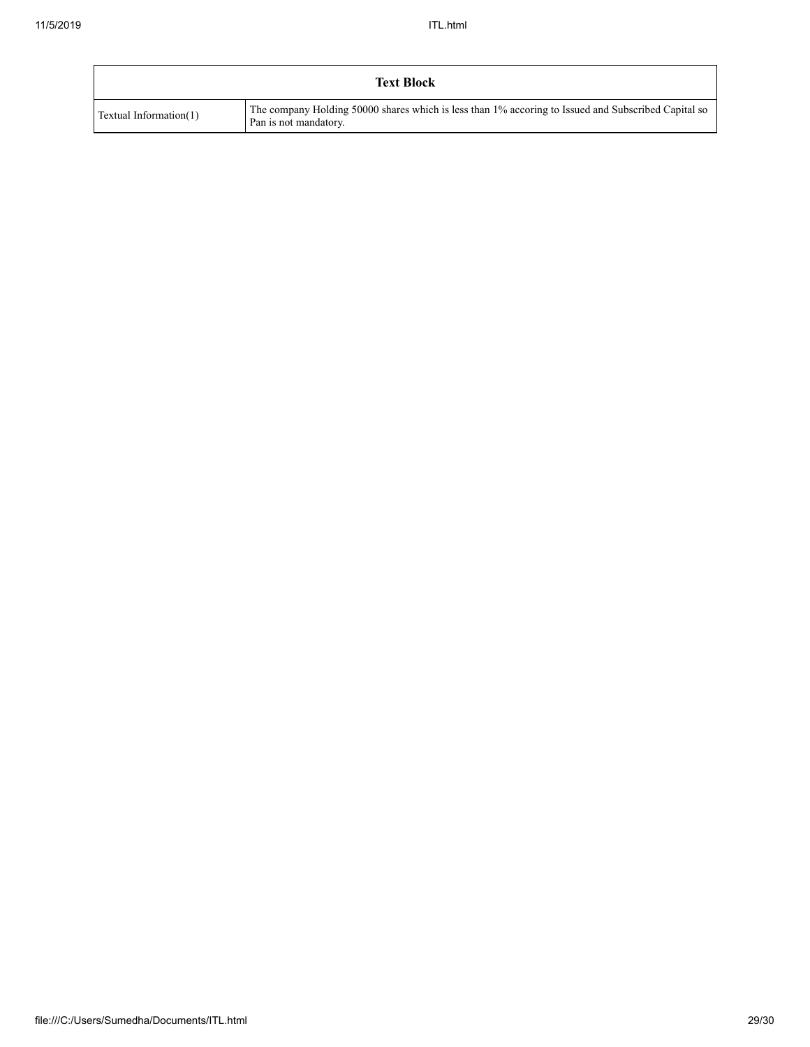| <b>Text Block</b>      |                                                                                                                              |  |  |
|------------------------|------------------------------------------------------------------------------------------------------------------------------|--|--|
| Textual Information(1) | The company Holding 50000 shares which is less than 1% accoring to Issued and Subscribed Capital so<br>Pan is not mandatory. |  |  |